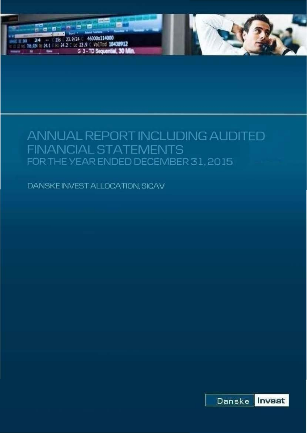

# ANNUAL REPORT INCLUDING AUDITED **FINANCIAL STATEMENTS** FOR THE YEAR ENDED DECEMBER 31, 2015

DANSKE INVEST ALLOCATION, SICAV

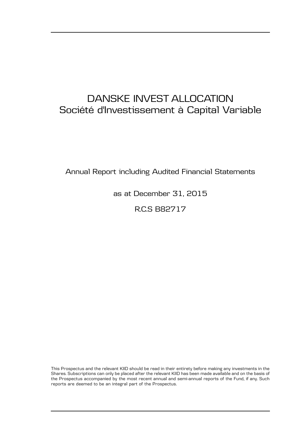# DANSKE INVEST ALLOCATION Société d'Investissement à Capital Variable

Annual Report including Audited Financial Statements

as at December 31, 2015

R.C.S B82717

This Prospectus and the relevant KIID should be read in their entirety before making any investments in the Shares. Subscriptions can only be placed after the relevant KIID has been made available and on the basis of the Prospectus accompanied by the most recent annual and semi-annual reports of the Fund, if any. Such reports are deemed to be an integral part of the Prospectus.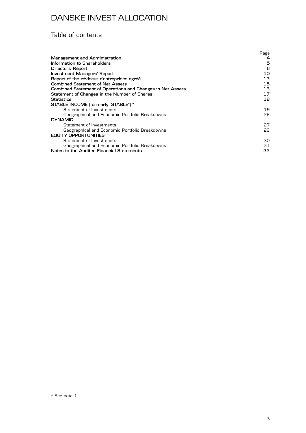### Table of contents

|                                                            | Page |
|------------------------------------------------------------|------|
| Management and Administration                              | 4    |
| Information to Shareholders                                | 5    |
| Directors' Report                                          | 6    |
| Investment Managers' Report                                | 10   |
| Report of the réviseur d'entreprises agréé                 | 13   |
| <b>Combined Statement of Net Assets</b>                    | 15   |
| Combined Statement of Operations and Changes in Net Assets | 16.  |
| Statement of Changes in the Number of Shares               | 17   |
| <b>Statistics</b>                                          | 18   |
| STABLE INCOME (formerly "STABLE") *                        |      |
| Statement of Investments                                   | 19   |
| Geographical and Economic Portfolio Breakdowns             | 26   |
| <b>DYNAMIC</b>                                             |      |
| Statement of Investments                                   | 27   |
| Geographical and Economic Portfolio Breakdowns             | 29   |
| <b>EQUITY OPPORTUNITIES</b>                                |      |
| Statement of Investments                                   | 30   |
| Geographical and Economic Portfolio Breakdowns             | 31   |
| Notes to the Audited Financial Statements                  | 32   |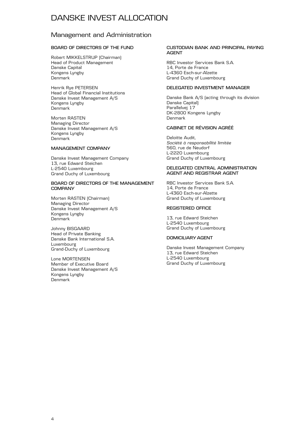### Management and Administration

### **BOARD OF DIRECTORS OF THE FUND**

Robert MIKKELSTRUP (Chairman) Head of Product Management Danske Capital Kongens Lyngby Denmark

Henrik Rye PETERSEN Head of Global Financial Institutions Danske Invest Management A/S Kongens Lyngby Denmark

Morten RASTEN Managing Director Danske Invest Management A/S Kongens Lyngby Denmark

### **MANAGEMENT COMPANY**

Danske Invest Management Company 13, rue Edward Steichen L-2540 Luxembourg Grand Duchy of Luxembourg

#### **BOARD OF DIRECTORS OF THE MANAGEMENT COMPANY**

Morten RASTEN (Chairman) Managing Director Danske Invest Management A/S Kongens Lyngby Denmark

Johnny BISGAARD Head of Private Banking Danske Bank International S.A. Luxembourg Grand-Duchy of Luxembourg

Lone MORTENSEN Member of Executive Board Danske Invest Management A/S Kongens Lyngby Denmark

#### **CUSTODIAN BANK AND PRINCIPAL PAYING AGENT**

RBC Investor Services Bank S.A. 14, Porte de France L-4360 Esch-sur-Alzette Grand Duchy of Luxembourg

### **DELEGATED INVESTMENT MANAGER**

Danske Bank A/S (acting through its division Danske Capital) Parallelvej 17 DK-2800 Kongens Lyngby Denmark

### **CABINET DE RÉVISION AGRÉÉ**

Deloitte Audit, *Société à responsabilité limitée* 560, rue de Neudorf L-2220 Luxembourg Grand Duchy of Luxembourg

#### **DELEGATED CENTRAL ADMINISTRATION AGENT AND REGISTRAR AGENT**

RBC Investor Services Bank S.A. 14, Porte de France L-4360 Esch-sur-Alzette Grand Duchy of Luxembourg

#### **REGISTERED OFFICE**

13, rue Edward Steichen L-2540 Luxembourg Grand Duchy of Luxembourg

### **DOMICILIARY AGENT**

Danske Invest Management Company 13, rue Edward Steichen L-2540 Luxembourg Grand Duchy of Luxembourg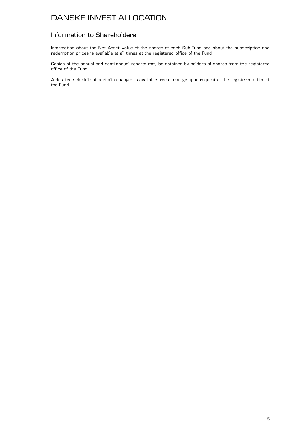### Information to Shareholders

Information about the Net Asset Value of the shares of each Sub-Fund and about the subscription and redemption prices is available at all times at the registered office of the Fund.

Copies of the annual and semi-annual reports may be obtained by holders of shares from the registered office of the Fund.

A detailed schedule of portfolio changes is available free of charge upon request at the registered office of the Fund.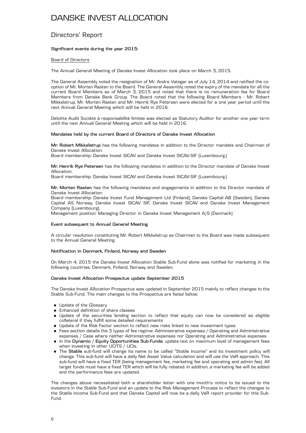### Directors' Report

### **Significant events during the year 2015:**

### Board of Directors

The Annual General Meeting of Danske Invest Allocation took place on March 3, 2015.

The General Assembly noted the resignation of Mr. Andre Vatsgar as of July 14, 2014 and ratified the cooption of Mr. Morten Rasten to the Board. The General Assembly noted the expiry of the mandate for all the current Board Members as of March 3, 2015 and noted that there is no remuneration fee for Board Members from Danske Bank Group. The Board noted that the following Board Members - Mr. Robert Mikkelstrup, Mr. Morten Rasten and Mr. Henrik Rye Petersen were elected for a one year period until the next Annual General Meeting which will be held in 2016.

Deloitte Audit Société à responsabilité limitée was elected as Statutory Auditor for another one year term until the next Annual General Meeting which will be held in 2016.

#### **Mandates held by the current Board of Directors of Danske Invest Allocation**

**Mr. Robert Mikkelstrup** has the following mandates in addition to the Director mandate and Chairman of Danske Invest Allocation:

Board membership: Danske Invest SICAV and Danske Invest SICAV-SIF (Luxembourg.)

**Mr. Henrik Rye Petersen** has the following mandates in addition to the Director mandate of Danske Invest Allocation:

Board membership: Danske Invest SICAV and Danske Invest SICAV-SIF (Luxembourg.)

**Mr. Morten Rasten** has the following mandates and engagements in addition to the Director mandate of Danske Invest Allocation:

Board membership: Danske Invest Fund Management Ltd (Finland), Danske Capital AB (Sweden), Danske Capital AS Norway, Danske Invest SICAV SIF, Danske Invest SICAV and Danske Invest Management Company (Luxembourg).

Management position: Managing Director in Danske Invest Management A/S (Denmark)

#### **Event subsequent to Annual General Meeting**

A circular resolution constituting Mr. Robert Mikkelstrup as Chairman to the Board was made subsequent to the Annual General Meeting.

#### **Notification in Denmark, Finland, Norway and Sweden**

On March 4, 2015 the Danske Invest Allocation Stable Sub-Fund alone was notified for marketing in the following countries: Denmark, Finland, Norway and Sweden.

#### **Danske Invest Allocation Prospectus update September 2015**

The Danske Invest Allocation Prospectus was updated in September 2015 mainly to reflect changes to the Stable Sub-Fund. The main changes to the Prospectus are listed below:

- Update of the Glossary
- . Enhanced definition of share classes
- . Update of the securities lending section to reflect that equity can now be considered as eligible collateral if they fulfill some detailed requirements
- . Update of the Risk Factor section to reflect new risks linked to new investment types
- . Fees section details the 3 types of fee regime: Administrative expenses / Operating and Administrative expenses / Case where neither Administrative expenses nor Operating and Administrative expenses
- . In the **Dynamic** / **Equity Opportunities Sub-Funds**: update text on maximum level of management fees when investing in other UCITS / UCIs.
- . The **Stable** sub-fund will change its name to be called "Stable Income" and its investment policy will change. This sub-fund will have a daily Net Asset Value calculation and will use the VaR approach. This sub-fund will have a fixed TER (being management fee, marketing fee and operating and admin fee). All target funds must have a fixed TER which will be fully rebated. In addition, a marketing fee will be added and the performance fees are updated.

The changes above necessitated both a shareholder letter with one month's notice to be issued to the investors in the Stable Sub-Fund and an update to the Risk Management Process to reflect the changes to the Stable Income Sub-Fund and that Danske Capital will now be a daily VaR report provider for this Sub-Fund.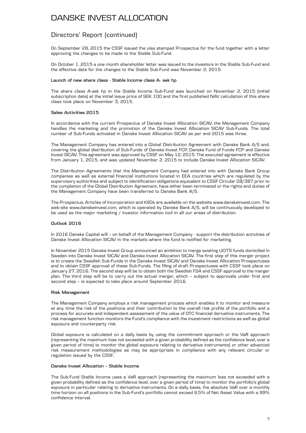### Directors' Report (continued)

On September 28, 2015 the CSSF issued the visa stamped Prospectus for the fund together with a letter approving the changes to be made to the Stable Sub-Fund.

On October 1, 2015 a one month shareholder letter was issued to the investors in the Stable Sub-Fund and the effective date for the changes to the Stable Sub-Fund was November 2, 2015.

#### **Launch of new share class - Stable Income class A- sek hp**

The share class A-sek hp in the Stable Income Sub-Fund was launched on November 2, 2015 (initial subscription date) at the initial issue price of SEK 100 and the first published NAV calculation of this share class took place on November 3, 2015.

### **Sales Activities 2015**

In accordance with the current Prospectus of Danske Invest Allocation SICAV, the Management Company handles the marketing and the promotion of the Danske Invest Allocation SICAV Sub-Funds. The total number of Sub-Funds activated in Danske Invest Allocation SICAV as per end 2015 was three.

The Management Company has entered into a Global Distribution Agreement with Danske Bank A/S and, covering the global distribution of Sub-Funds of Danske Invest FCP, Danske Fund of Funds FCP and Danske Invest SICAV. This agreement was approved by CSSF on May 12, 2015. The executed agreement is effective from January 1, 2015, and was updated November 2, 2015 to include Danske Invest Allocation SICAV.

The Distribution Agreements that the Management Company had entered into with Danske Bank Group companies as well as external financial institutions located in EEA countries which are regulated by the supervisory authorities and subject to identification obligations equivalent to CSSF Circular 08/387 prior to the completion of the Global Distribution Agreement, have either been terminated or the rights and duties of the Management Company have been transferred to Danske Bank A/S.

The Prospectus, Articles of Incorporation and KIIDs are available on the website www.danskeinvest.com. The web-site www.danskeinvest.com, which is operated by Danske Bank A/S, will be continuously developed to be used as the major marketing / investor information tool in all our areas of distribution.

### **Outlook 2016**

In 2016 Danske Capital will – on behalf of the Management Company - support the distribution activities of Danske Invest Allocation SICAV in the markets where the fund is notified for marketing.

In November 2015 Danske Invest Group announced an ambition to merge existing UCITS funds domiciled in Sweden into Danske Invest SICAV and Danske Invest Allocation SICAV. The first step of this merger project is to create the Swedish Sub-Funds in the Danske Invest SICAV and Danske Invest Allocation Prospectuses and to obtain CSSF approval of these Sub-Funds. The filing of draft Prospectuses with CSSF took place on January 27, 2016. The second step will be to obtain both the Swedish FSA and CSSF approval to the merger plan. The third step will be to carry out the actual merger, which – subject to approvals under first and second step – is expected to take place around September 2016.

### **Risk Management**

The Management Company employs a risk management process which enables it to monitor and measure at any time the risk of the positions and their contribution to the overall risk profile of the portfolio and a process for accurate and independent assessment of the value of OTC financial derivative instruments. The risk management function monitors the Fund's compliance with the investment restrictions as well as global exposure and counterparty risk.

Global exposure is calculated on a daily basis by using the commitment approach or the VaR approach (representing the maximum loss not exceeded with a given probability defined as the confidence level, over a given period of time) to monitor the global exposure relating to derivative instruments) or other advanced risk measurement methodologies as may be appropriate in compliance with any relevant circular or regulation issued by the CSSF.

### **Danske Invest Allocation – Stable Income**

The Sub-Fund Stable Income uses a VaR approach (representing the maximum loss not exceeded with a given probability defined as the confidence level, over a given period of time) to monitor the portfolio's global exposure in particular relating to derivative instruments. On a daily basis, the absolute VaR over a monthly time horizon on all positions in the Sub-Fund's portfolio cannot exceed 6.5% of Net Asset Value with a 99% confidence interval.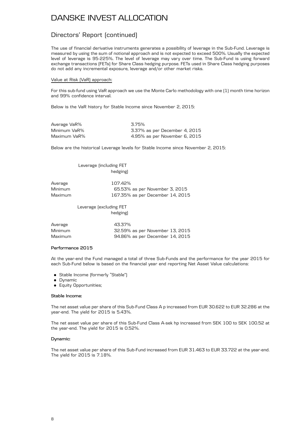### Directors' Report (continued)

The use of financial derivative instruments generates a possibility of leverage in the Sub-Fund. Leverage is measured by using the sum of notional approach and is not expected to exceed 500%. Usually the expected level of leverage is 95-225%. The level of leverage may vary over time. The Sub-Fund is using forward exchange transactions (FETs) for Share Class hedging purpose. FETs used in Share Class hedging purposes do not add any incremental exposure, leverage and/or other market risks.

#### Value at Risk (VaR) approach:

For this sub-fund using VaR approach we use the Monte Carlo methodology with one (1) month time horizon and 99% confidence interval.

Below is the VaR history for Stable Income since November 2, 2015:

| Average VaR% | 3.75%                         |
|--------------|-------------------------------|
| Minimum VaR% | 3.37% as per December 4, 2015 |
| Maximum VaR% | 4.95% as per November 6, 2015 |

Below are the historical Leverage levels for Stable Income since November 2, 2015:

### Leverage (including FET hedging)

| Average | 107.42%                          |
|---------|----------------------------------|
| Minimum | 65.53% as per November 3, 2015   |
| Maximum | 167.35% as per December 14, 2015 |

Leverage (excluding FET hedging)

| Average | 43.37%                          |  |
|---------|---------------------------------|--|
| Minimum | 32.59% as per November 13, 2015 |  |
| Maximum | 94.86% as per December 14, 2015 |  |

#### **Performance 2015**

At the year-end the Fund managed a total of three Sub-Funds and the performance for the year 2015 for each Sub-Fund below is based on the financial year end reporting Net Asset Value calculations:

- . Stable Income (formerly "Stable")
- **.** Dynamic
- **.** Equity Opportunities;

#### **Stable Income:**

The net asset value per share of this Sub-Fund Class A p increased from EUR 30.622 to EUR 32.286 at the year-end. The yield for 2015 is 5.43%.

The net asset value per share of this Sub-Fund Class A-sek hp increased from SEK 100 to SEK 100.52 at the year-end. The yield for 2015 is 0.52%.

#### **Dynamic:**

The net asset value per share of this Sub-Fund increased from EUR 31.463 to EUR 33.722 at the year-end. The yield for 2015 is 7.18%.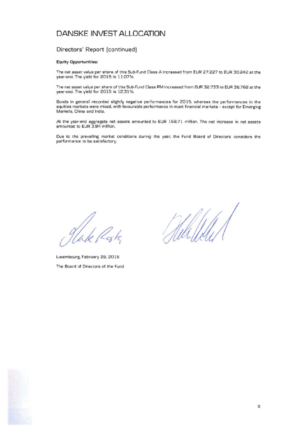### Directors' Report [continued]

#### Equity Opportunities:

The net asset value per share of this Sub-Fund Class A increased from EUR 27.227 to EUR 30.242 at the year-end. The yield for 2015 is 11.07%.

The net asset value per share of this Sub-Fund Class PM increased from EUR 32.733 to EUR 36.762 at the year-end. The yield for 2015 is 12.31%.

Bonds in general recorded slightly negative performances for 2015. whereas the performances in the equities markets were mixed, with favourable performance in most financial markets - except for Emerging Markets, China and India.

At the year-end aggregate net assets amounted to EUR 168.71 million. The net increase in net assets amounted to EUR 3.94 million.

Due to the prevailing market conditions during the year. the Fund Board of Directors considers the performance to be satisfactory.

glade p

Luxembourg, February 29. 2016 The Board of Directors of the Fund

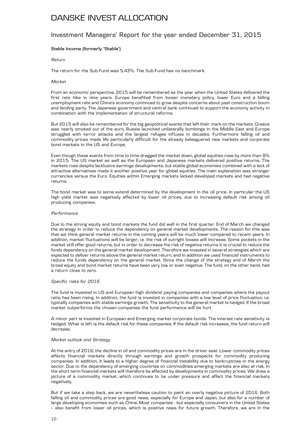### Investment Managers' Report for the year ended December 31, 2015

### **Stable Income (formerly "Stable")**

#### *Return*

The return for the Sub-Fund was 5.43%. The Sub-Fund has no benchmark.

#### *Market*

From an economic perspective, 2015 will be remembered as the year when the United States delivered the first rate hike in nine years. Europe benefited from looser monetary policy, lower Euro and a falling unemployment rate and China's economy continued to grow despite concerns about past construction boom and lending party. The Japanese government and central bank continued to support the economy activity in combination with the implementation of structural reforms.

But 2015 will also be remembered for the big geopolitical events that left their mark on the markets. Greece was nearly smoked out of the euro, Russia launched unilaterally bombings in the Middle East and Europe struggled with terror attacks and the largest refugee influxes in decades. Furthermore falling oil and commodity prices made life particularly difficult for the already beleaguered new markets and corporate bond markets in the US and Europe.

Even though these events from time to time dragged the market down, global equities rose by more than 8% in 2015. The US market as well as the European and Japanese markets delivered positive returns. The markets rose despite lacklustre earnings developments, but stable global economies combined with a lack of attractive alternatives made it another positive year for global equities. The main explanation was stronger currencies versus the Euro. Equities within Emerging markets lacked developed markets and had negative returns.

The bond market was to some extend determined by the development in the oil price. In particular the US high yield market was negatively affected by lower oil prices, due to increasing default risk among oil producing companies.

#### *Performance*

Due to the strong equity and bond markets the fund did well in the first quarter. End of March we changed the strategy in order to reduce the dependency on general market developments. The reason for this was that we think general market returns in the coming years will be much lower compared to recent years. In addition, market fluctuations will be larger, i.e. the risk of outright losses will increase. Some pockets in the market still offer good returns, but in order to decrease the risk of negative returns it is crucial to reduce the funds dependency on the general market development. Therefore we invested in several strategies which are expected to deliver returns above the general market return, and in addition we used financial instruments to reduce the funds dependency on the general market. Since the change of the strategy end of March the broad equity and bond market returns have been very low or even negative. The fund, on the other hand, had a return close to zero.

#### *Specific risks for 2016*

The fund is invested in US and European high dividend paying companies and companies where the payout ratio has been rising. In addition, the fund is invested in companies with a low level of price fluctuation, i.e. typically companies with stable earnings growth. The sensitivity to the general market is hedged. If the broad market outperforms the chosen companies the fund performance will be hurt.

A minor part is invested in European and Emerging market corporate bonds. The interest rate sensitivity is hedged. What is left is the default risk for these companies. If the default risk increases, the fund return will decrease.

#### *Market outlook and Strategy*

At the entry of 2016, the decline in oil and commodity prices are in the driver seat. Lower commodity prices affects financial markets directly through earnings and growth prospects for commodity producing companies. In addition, it leads to a higher degree of financial instability due to bankruptcies in the energy sector. Due to the dependency of emerging countries on commodities emerging markets are also at risk. In the short term financial markets will therefore be affected by developments in commodity prices. We draw a picture of a commodity market, which continues to be under pressure and affect the financial markets negatively.

But if we take a step back, we are nevertheless caution to paint an overly negative picture of 2016. Both falling oil and commodity prices are good news, especially for Europe and Japan, but also for a number of large developing economies such as China. Most companies - but especially consumers in the United States – also benefit from lower oil prices, which is positive news for future growth. Therefore, we are in the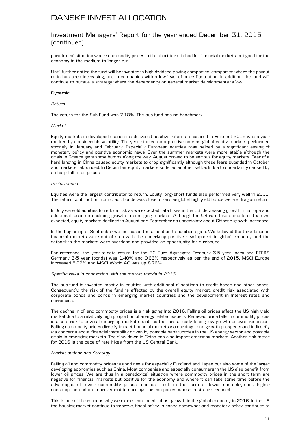### Investment Managers' Report for the year ended December 31, 2015 (continued)

paradoxical situation where commodity prices in the short term is bad for financial markets, but good for the economy in the medium to longer run.

Until further notice the fund will be invested in high dividend paying companies, companies where the payout ratio has been increasing, and in companies with a low level of price fluctuation. In addition, the fund will continue to pursue a strategy where the dependency on general market developments is low.

### **Dynamic**

### *Return*

The return for the Sub-Fund was 7.18%. The sub-fund has no benchmark.

#### *Market*

Equity markets in developed economies delivered positive returns measured in Euro but 2015 was a year marked by considerable volatility. The year started on a positive note as global equity markets performed strongly in January and February. Especially European equities rose helped by a significant easing of monetary policy and positive economic news. Over the summer markets were more stable although the crisis in Greece gave some bumps along the way. August proved to be serious for equity markets. Fear of a hard landing in China caused equity markets to drop significantly although these fears subsided in October and markets rebounded. In December equity markets suffered another setback due to uncertainty caused by a sharp fall in oil prices.

#### *Performance*

Equities were the largest contributor to return. Equity long/short funds also performed very well in 2015. The return contribution from credit bonds was close to zero as global high yield bonds were a drag on return.

In July we sold equities to reduce risk as we expected rate hikes in the US, decreasing growth in Europe and additional focus on declining growth in emerging markets. Although the US rate hike came later than we expected, equity markets declined in August and September as uncertainty about Chinese growth increased.

In the beginning of September we increased the allocation to equities again. We believed the turbulence in financial markets were out of step with the underlying positive development in global economy and the setback in the markets were overdone and provided an opportunity for a rebound.

For reference, the year-to-date return for the BC Euro Aggregate Treasury 3-5 year index and EFFAS Germany 3-5 year (bonds) was 1.40% and 0.66% respectively as per the end of 2015. MSCI Europe increased 8.22% and MSCI World AC was up 8.76%.

#### *Specific risks in connection with the market trends in 2016*

The sub-fund is invested mostly in equities with additional allocations to credit bonds and other bonds. Consequently, the risk of the fund is affected by the overall equity market, credit risk associated with corporate bonds and bonds in emerging market countries and the development in interest rates and currencies.

The decline in oil and commodity prices is a risk going into 2016. Falling oil prices affect the US high yield market due to a relatively high proportion of energy related issuers. Renewed price falls in commodity prices is also a risk to several emerging market countries that are already facing low growth or even recession. Falling commodity prices directly impact financial markets via earnings- and growth prospects and indirectly via concerns about financial instability driven by possible bankruptcies in the US energy sector and possible crisis in emerging markets. The slow-down in China can also impact emerging markets. Another risk factor for 2016 is the pace of rate hikes from the US Central Bank.

#### *Market outlook and Strategy*

Falling oil and commodity prices is good news for especially Euroland and Japan but also some of the larger developing economies such as China. Most companies and especially consumers in the US also benefit from lower oil prices. We are thus in a paradoxical situation where commodity prices in the short term are negative for financial markets but positive for the economy and where it can take some time before the advantages of lower commodity prices manifest itself in the form of lower unemployment, higher consumption and an improvement in earnings for companies whose costs are reduced.

This is one of the reasons why we expect continued robust growth in the global economy in 2016. In the US the housing market continue to improve, fiscal policy is eased somewhat and monetary policy continues to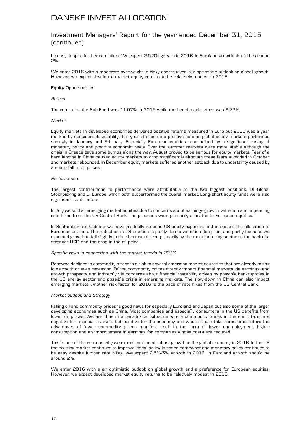### Investment Managers' Report for the year ended December 31, 2015 (continued)

be easy despite further rate hikes. We expect 2.5-3% growth in 2016. In Euroland growth should be around 2%.

We enter 2016 with a moderate overweight in risky assets given our optimistic outlook on global growth. However, we expect developed market equity returns to be relatively modest in 2016.

#### **Equity Opportunities**

#### *Return*

The return for the Sub-Fund was 11.07% in 2015 while the benchmark return was 8.72%.

#### *Market*

Equity markets in developed economies delivered positive returns measured in Euro but 2015 was a year marked by considerable volatility. The year started on a positive note as global equity markets performed strongly in January and February. Especially European equities rose helped by a significant easing of monetary policy and positive economic news. Over the summer markets were more stable although the crisis in Greece gave some bumps along the way. August proved to be serious for equity markets. Fear of a hard landing in China caused equity markets to drop significantly although these fears subsided in October and markets rebounded. In December equity markets suffered another setback due to uncertainty caused by a sharp fall in oil prices.

#### *Performance*

The largest contributions to performance were attributable to the two biggest positions, DI Global Stockpicking and DI Europe, which both outperformed the overall market. Long/short equity funds were also significant contributors.

In July we sold all emerging market equities due to concerns about earnings growth, valuation and impending rate hikes from the US Central Bank. The proceeds were primarily allocated to European equities.

In September and October we have gradually reduced US equity exposure and increased the allocation to European equities. The reduction in US equities is partly due to valuation (long-run) and partly because we expected growth to fall slightly in the short run driven primarily by the manufacturing sector on the back of a stronger USD and the drop in the oil price.

#### *Specific risks in connection with the market trends in 2016*

Renewed declines in commodity prices is a risk to several emerging market countries that are already facing low growth or even recession. Falling commodity prices directly impact financial markets via earnings- and growth prospects and indirectly via concerns about financial instability driven by possible bankruptcies in the US energy sector and possible crisis in emerging markets. The slow-down in China can also impact emerging markets. Another risk factor for 2016 is the pace of rate hikes from the US Central Bank.

#### *Market outlook and Strategy*

Falling oil and commodity prices is good news for especially Euroland and Japan but also some of the larger developing economies such as China. Most companies and especially consumers in the US benefits from lower oil prices. We are thus in a paradoxical situation where commodity prices in the short term are negative for financial markets but positive for the economy and where it can take some time before the advantages of lower commodity prices manifest itself in the form of lower unemployment, higher consumption and an improvement in earnings for companies whose costs are reduced.

This is one of the reasons why we expect continued robust growth in the global economy in 2016. In the US the housing market continues to improve, fiscal policy is eased somewhat and monetary policy continues to be easy despite further rate hikes. We expect 2.5%-3% growth in 2016. In Euroland growth should be around 2%.

We enter 2016 with a an optimistic outlook on global growth and a preference for European equities. However, we expect developed market equity returns to be relatively modest in 2016.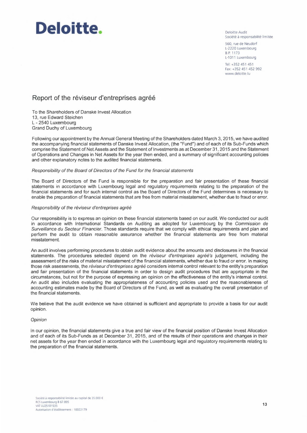# **Deloitte.**

Deloitte Audit Société à responsabilité limitée

560, rue de Neudorf L-2220 Luxembourg BP 1173 L-1011 Luxembourg

Tel: +352 451 451 Fax: +352 451 452 992 www.delo1tte.lu

### **Report of the réviseur d'entreprises agréé**

To the Shareholders of Danske Invest Allocation 13, rue Edward Steichen L - 2540 Luxembourg Grand Duchy of Luxembourg

Following our appointment by the Annual General Meeting of the Shareholders dated March 3, 2015, we have audited the accompanying financial statements of Danske Invest Allocation, (the "Fund") and of each of its Sub-Funds which comprise the Statement of Net Assets and the Statement of Investments as at December 31, 2015 and the Statement of Operations and Changes in Net Assets for the year then ended, and a summary of significant accounting policies and other explanatory notes to the audited financial statements.

### Responsibility of the Board of Directors of the Fund for the financial statements

The Board of Directors of the Fund is responsible for the preparation and fair presentation of these financial statements in accordance with Luxembourg legal and regulatory requirements relating to the preparation of the financial statements and for such internal control as the Board of Directors of the Fund determines is necessary to enable the preparation of financial statements that are free from material misstatement, whether due to fraud or error.

### Responsibility of the réviseur d'entreprises agréé

Our responsibility is to express an opinion on these financial statements based on our audit. We conducted our audit in accordance with International Standards on Auditing as adopted for Luxembourg by the Commission de Surveillance du Secteur Financier. Those standards require that we comply with ethical requirements and plan and perform the audit to obtain reasonable assurance whether the financial statements are free from material misstatement.

An audit involves performing procedures to obtain audit evidence about the amounts and disclosures in the financial statements. The procedures selected depend on the réviseur d'entreprises agréé's judgement, including the assessment of the risks of material misstatement of the financial statements, whether due to fraud or error. In making those risk assessments, the réviseur d'entreprises agréé considers internal control relevant to the entity's preparation and fair presentation of the financial statements in order to design audit procedures that are appropriate in the circumstances, but not for the purpose of expressing an opinion on the effectiveness of the entity's internal control. An audit also includes evaluating the appropriateness of accounting policies used and the reasonableness of accounting estimates made by the Board of Directors of the Fund, as well as evaluating the overall presentation of the financial statements.

We believe that the audit evidence we have obtained is sufficient and appropriate to provide a basis for our audit opinion.

### Opinion

In our opinion, the financial statements give a true and fair view of the financial position of Danske Invest Allocation and of each of its Sub-Funds as at December 31, 2015, and of the results of their operations and changes in their net assets for the year then ended in accordance with the Luxembourg legal and regulatory requirements relating to the preparation of the financial statements.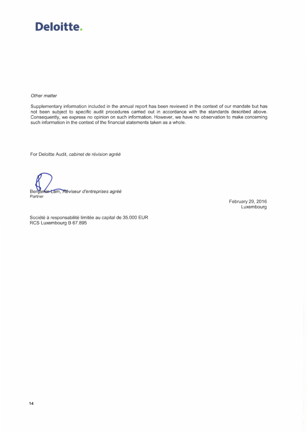# **Deloitte.**

#### Other matter

Supplementary information included in the annual report has been reviewed in the context of our mandate but has not been subject to specific audit procedures carried out in accordance with the standards described above. Consequently, we express no opinion on such information. However, we have no observation to make concerning such information in the context of the financial statements taken as a whole.

For Deloitte Audit, cabinet de révision agréé

Benjamin Lam, Réviseur d'entreprises agréé Partner

February 29, 2016 Luxembourg

Société à responsabilité limitée au capital de 35.000 EUR RCS Luxembourg B 67.895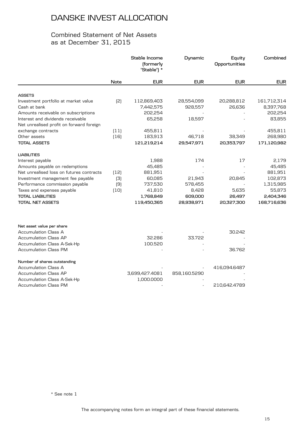### Combined Statement of Net Assets as at December 31, 2015

|                                          |        | Stable Income<br>(formerly<br>"Stable") * | Dynamic      | Equity<br>Opportunities | Combined    |
|------------------------------------------|--------|-------------------------------------------|--------------|-------------------------|-------------|
|                                          | Note   | <b>EUR</b>                                | <b>EUR</b>   | <b>EUR</b>              | <b>EUR</b>  |
| <b>ASSETS</b>                            |        |                                           |              |                         |             |
| Investment portfolio at market value     | [2]    | 112,869,403                               | 28,554,099   | 20,288,812              | 161,712,314 |
| Cash at bank                             |        | 7,442,575                                 | 928,557      | 26,636                  | 8,397,768   |
| Amounts receivable on subscriptions      |        | 202,254                                   |              |                         | 202,254     |
| Interest and dividends receivable        |        | 65,258                                    | 18,597       |                         | 83,855      |
| Net unrealised profit on forward foreign |        |                                           |              |                         |             |
| exchange contracts                       | (11)   | 455,811                                   |              |                         | 455,811     |
| Other assets                             | $[16]$ | 183,913                                   | 46,718       | 38,349                  | 268,980     |
| <b>TOTAL ASSETS</b>                      |        | 121,219,214                               | 29,547,971   | 20,353,797              | 171,120,982 |
| <b>LIABILITIES</b>                       |        |                                           |              |                         |             |
| Interest payable                         |        | 1,988                                     | 174          | 17                      | 2,179       |
| Amounts payable on redemptions           |        | 45,485                                    |              |                         | 45,485      |
| Net unrealised loss on futures contracts | (12)   | 881,951                                   |              |                         | 881,951     |
| Investment management fee payable        | (3)    | 60,085                                    | 21,943       | 20,845                  | 102,873     |
| Performance commission payable           | (9)    | 737,530                                   | 578,455      |                         | 1,315,985   |
| Taxes and expenses payable               | $[10]$ | 41,810                                    | 8,428        | 5,635                   | 55,873      |
| <b>TOTAL LIABILITIES</b>                 |        | 1,768,849                                 | 609,000      | 26,497                  | 2,404,346   |
| <b>TOTAL NET ASSETS</b>                  |        | 119,450,365                               | 28,938,971   | 20,327,300              | 168,716,636 |
| Net asset value per share                |        |                                           |              |                         |             |
| <b>Accumulation Class A</b>              |        |                                           |              | 30.242                  |             |
| <b>Accumulation Class AP</b>             |        | 32.286                                    | 33.722       |                         |             |
| <b>Accumulation Class A-Sek-Hp</b>       |        | 100.520                                   |              |                         |             |
| <b>Accumulation Class PM</b>             |        |                                           |              | 36.762                  |             |
| Number of shares outstanding             |        |                                           |              |                         |             |
| Accumulation Class A                     |        |                                           |              | 416,094.6487            |             |
| <b>Accumulation Class AP</b>             |        | 3,699,427.4081                            | 858,160.5290 |                         |             |
| <b>Accumulation Class A-Sek-Hp</b>       |        | 1,000.0000                                |              |                         |             |
| Accumulation Class PM                    |        |                                           |              | 210,642.4789            |             |

\* See note 1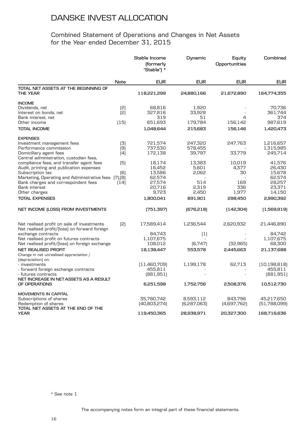### Combined Statement of Operations and Changes in Net Assets for the Year ended December 31, 2015

|                                                                                                                                                                                                                                                                                                                                                                                                                                          |                                 | Stable Income<br>(formerly<br>"Stable") *                                                          | Dynamic                                                          | Equity<br>Opportunities                                 | Combined                                                                                            |
|------------------------------------------------------------------------------------------------------------------------------------------------------------------------------------------------------------------------------------------------------------------------------------------------------------------------------------------------------------------------------------------------------------------------------------------|---------------------------------|----------------------------------------------------------------------------------------------------|------------------------------------------------------------------|---------------------------------------------------------|-----------------------------------------------------------------------------------------------------|
|                                                                                                                                                                                                                                                                                                                                                                                                                                          | Note                            | <b>EUR</b>                                                                                         | <b>EUR</b>                                                       | <b>EUR</b>                                              | EUR                                                                                                 |
| TOTAL NET ASSETS AT THE BEGINNING OF<br><b>THE YEAR</b>                                                                                                                                                                                                                                                                                                                                                                                  |                                 | 118,221,299                                                                                        | 24,880,166                                                       | 21,672,890                                              | 164,774,355                                                                                         |
| <b>INCOME</b><br>Dividends, net<br>Interest on bonds, net<br>Bank interest, net<br>Other income<br><b>TOTAL INCOME</b>                                                                                                                                                                                                                                                                                                                   | $\left[2\right]$<br>(2)<br>(15) | 68,816<br>327,816<br>319<br>651,693<br>1,048,644                                                   | 1,920<br>33,928<br>51<br>179,784<br>215,683                      | 4<br>156,142<br>156,146                                 | 70,736<br>361,744<br>374<br>987,619<br>1,420,473                                                    |
| <b>EXPENSES</b><br>Investment management fees<br>Performance commission<br>Domiciliary agent fees                                                                                                                                                                                                                                                                                                                                        | (3)<br>(9)<br>(4)               | 721,574<br>737,530<br>172,138                                                                      | 247,320<br>578,455<br>39,797                                     | 247,763<br>33,779                                       | 1,216,657<br>1,315,985<br>245,714                                                                   |
| Central administration, custodian fees,<br>compliance fees, and transfer agent fees<br>Audit, printing and publication expenses<br>Subscription tax<br>Marketing, Operating and Administrative fees [7], [8]<br>Bank charges and correspondent fees<br>Bank interest<br>Other charges<br><b>TOTAL EXPENSES</b>                                                                                                                           | (5)<br>[6]<br>(14)              | 18.174<br>16,452<br>13,586<br>62,574<br>27,574<br>20,716<br>9,723<br>1,800,041                     | 13,383<br>5,601<br>2,062<br>514<br>2,319<br>2,450<br>891,901     | 10,019<br>4,377<br>30<br>169<br>336<br>1,977<br>298,450 | 41.576<br>26,430<br>15,678<br>62,574<br>28,257<br>23,371<br>14,150<br>2,990,392                     |
| NET INCOME (LOSS) FROM INVESTMENTS                                                                                                                                                                                                                                                                                                                                                                                                       |                                 | (751, 397)                                                                                         | [676, 218]                                                       | [142,304]                                               | (1,569,919)                                                                                         |
| Net realised profit on sale of investments<br>Net realised profit/(loss) on forward foreign<br>exchange contracts<br>Net realised profit on futures contracts<br>Net realised profit/(loss) on foreign exchange<br><b>NET REALISED PROFIT</b><br>Change in net unrealised appreciation /<br>(depreciation) on:<br>- investments<br>- forward foreign exchange contracts<br>- futures contracts<br>NET INCREASE IN NET ASSETS AS A RESULT | [2]                             | 17,589,414<br>84.743<br>1,107,675<br>108,012<br>18,138,447<br>(11,460,709)<br>455,811<br>[881,951] | 1,236,544<br>$\left(1\right)$<br>(6,747)<br>553,578<br>1,199,178 | 2,620,932<br>[32, 965]<br>2,445,663<br>62,713           | 21,446,890<br>84,742<br>1,107,675<br>68,300<br>21,137,688<br>(10, 198, 818)<br>455,811<br>[881,951] |
| OF OPERATIONS<br>MOVEMENTS IN CAPITAL<br>Subscriptions of shares<br>Redemption of shares<br>TOTAL NET ASSETS AT THE END OF THE<br><b>YEAR</b>                                                                                                                                                                                                                                                                                            |                                 | 6,251,598<br>35,780,742<br>[40,803,274]<br>119,450,365                                             | 1,752,756<br>8,593,112<br>[6,287,063]<br>28,938,971              | 2,508,376<br>843,796<br>[4,697,762]<br>20,327,300       | 10,512,730<br>45,217,650<br>[51,788,099]<br>168,716,636                                             |

\* See note 1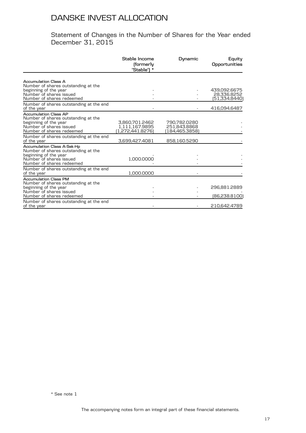### Statement of Changes in the Number of Shares for the Year ended December 31, 2015

|                                                                                                                                                            | Stable Income<br>(formerly<br>"Stable") *            | Dynamic                                        | Equity<br>Opportunities                      |
|------------------------------------------------------------------------------------------------------------------------------------------------------------|------------------------------------------------------|------------------------------------------------|----------------------------------------------|
|                                                                                                                                                            |                                                      |                                                |                                              |
| <b>Accumulation Class A</b><br>Number of shares outstanding at the<br>beginning of the year<br>Number of shares issued<br>Number of shares redeemed        |                                                      |                                                | 439,092.6675<br>28,336.8252<br>(51,334.8440) |
| Number of shares outstanding at the end<br>of the year                                                                                                     |                                                      |                                                | 416,094.6487                                 |
| <b>Accumulation Class AP</b><br>Number of shares outstanding at the<br>beginning of the year<br>Number of shares issued<br>Number of shares redeemed       | 3,860,701.2462<br>1.111.167.9895<br>[1,272,441.8276] | 790,782.0280<br>251.843.8868<br>(184,465.3858) |                                              |
| Number of shares outstanding at the end<br>of the year                                                                                                     | 3,699,427.4081                                       | 858,160.5290                                   |                                              |
| <b>Accumulation Class A-Sek-Hp</b><br>Number of shares outstanding at the<br>beginning of the year<br>Number of shares issued<br>Number of shares redeemed | 1,000.0000                                           |                                                |                                              |
| Number of shares outstanding at the end<br>of the year                                                                                                     | 1,000.0000                                           |                                                |                                              |
| <b>Accumulation Class PM</b><br>Number of shares outstanding at the<br>beginning of the year<br>Number of shares issued<br>Number of shares redeemed       |                                                      |                                                | 296,881.2889<br>(86,238.8100)                |
| Number of shares outstanding at the end<br>of the year                                                                                                     |                                                      |                                                | 210,642.4789                                 |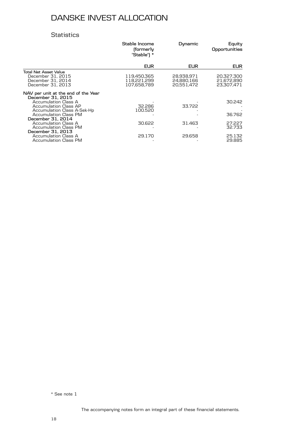### **Statistics**

|                                                                                                                                                                          | Stable Income<br>(formerly<br>"Stable") * | Dynamic                                | Equity<br>Opportunities                |
|--------------------------------------------------------------------------------------------------------------------------------------------------------------------------|-------------------------------------------|----------------------------------------|----------------------------------------|
|                                                                                                                                                                          | <b>EUR</b>                                | <b>EUR</b>                             | EUR.                                   |
| <b>Total Net Asset Value</b><br>December 31, 2015<br>December 31, 2014<br>December 31, 2013                                                                              | 119,450,365<br>118.221.299<br>107,658,789 | 28.938.971<br>24,880,166<br>20,551,472 | 20,327,300<br>21,672,890<br>23,307,471 |
| NAV per unit at the end of the Year<br>December 31, 2015<br>Accumulation Class A<br>Accumulation Class AP<br>Accumulation Class A-Sek-Hp<br><b>Accumulation Class PM</b> | 32.286<br>100.520                         | 33.722                                 | 30.242<br>36.762                       |
| December 31, 2014<br>Accumulation Class A<br><b>Accumulation Class PM</b>                                                                                                | 30.622                                    | 31.463                                 | 27.227<br>32.733                       |
| December 31, 2013<br>Accumulation Class A<br>Accumulation Class PM                                                                                                       | 29.170                                    | 29.658                                 | 25.132<br>29.885                       |

\* See note 1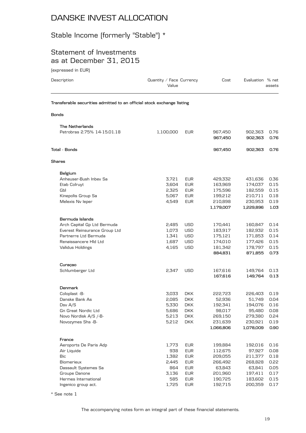# Stable Income (formerly "Stable") \*

### Statement of Investments as at December 31, 2015

(expressed in EUR)

| Description                                                            | Quantity / Face Currency<br>Value |            | Cost               | Evaluation % net   | assets       |
|------------------------------------------------------------------------|-----------------------------------|------------|--------------------|--------------------|--------------|
| Transferable securities admitted to an official stock exchange listing |                                   |            |                    |                    |              |
| <b>Bonds</b>                                                           |                                   |            |                    |                    |              |
| The Netherlands                                                        |                                   |            |                    |                    |              |
| Petrobras 2.75% 14-15.01.18                                            | 1,100,000                         | <b>EUR</b> | 967,450<br>967,450 | 902,363<br>902,363 | 0.76<br>0.76 |
| Total - Bonds                                                          |                                   |            | 967,450            | 902,363            | 0.76         |
| Shares                                                                 |                                   |            |                    |                    |              |
| Belgium                                                                |                                   |            |                    |                    |              |
| Anheuser-Bush Inbev Sa                                                 | 3,721                             | <b>EUR</b> | 429,332            | 431,636            | 0.36         |
| Etab Colruyt                                                           | 3,604                             | <b>EUR</b> | 163,969            | 174,037            | 0.15         |
| Gbl                                                                    | 2,325                             | <b>EUR</b> | 175,596            | 182,559            | 0.15         |
| Kinepolis Group Sa                                                     | 5,067                             | <b>EUR</b> | 199,212            | 210,711            | 0.18         |
| Melexis Nv leper                                                       | 4,549                             | <b>EUR</b> | 210,898            | 230,953            | 0.19         |
|                                                                        |                                   |            | 1,179,007          | 1,229,896          | 1.03         |
| Bermuda Islands                                                        |                                   |            |                    |                    |              |
| Arch Capital Gp Ltd Bermuda                                            | 2,485                             | USD        | 170,441            | 160,847            | 0.14         |
| Everest Reinsurance Group Ltd                                          | 1,073                             | <b>USD</b> | 183,917            | 182,932            | 0.15         |
| Partnerre Ltd Bermuda                                                  | 1,341                             | <b>USD</b> | 175,121            | 171,853            | 0.14         |
| Renaissancere HId Ltd                                                  | 1,687                             | <b>USD</b> | 174,010            | 177,426            | 0.15         |
| Validus Holdings                                                       | 4,165                             | <b>USD</b> | 181,342            | 178,797            | 0.15         |
|                                                                        |                                   |            | 884,831            | 871,855            | 0.73         |
| Curaçao                                                                |                                   |            |                    |                    |              |
| Schlumberger Ltd                                                       | 2,347                             | <b>USD</b> | 167,616            | 149,764            | 0.13         |
|                                                                        |                                   |            | 167,616            | 149,764            | 0.13         |
| <b>Denmark</b>                                                         |                                   |            |                    |                    |              |
| Coloplast -B-                                                          | 3,033                             | <b>DKK</b> | 222,723            | 226,403            | 0.19         |
| Danske Bank As                                                         | 2,085                             | <b>DKK</b> | 52,936             | 51,749             | 0.04         |
| Dsv A/S                                                                | 5.330                             | <b>DKK</b> | 192,341            | 194,076            | 0.16         |
| <b>Gn Great Nordic Ltd</b>                                             | 5,686                             | <b>DKK</b> | 98,017             | 95,480             | 0.08         |
| Novo Nordisk A/S /-B-                                                  | 5,213                             | <b>DKK</b> | 269,150            | 279,380            | 0.24         |
| Novozymes Shs -B-                                                      | 5,212                             | <b>DKK</b> | 231,639            | 230,921            | 0.19         |
|                                                                        |                                   |            | 1,066,806          | 1,078,009          | 0.90         |
| France                                                                 |                                   |            |                    |                    |              |
| Aeroports De Paris Adp                                                 | 1,773                             | EUR        | 199,884            | 192,016            | 0.16         |
| Air Liquide                                                            | 938                               | <b>EUR</b> | 112,675            | 97,927             | 0.08         |
| Bic                                                                    | 1,382                             | <b>EUR</b> | 209,055            | 211,377            | 0.18         |
| Biomerieux                                                             | 2,445                             | <b>EUR</b> | 266,492            | 268,828            | 0.22         |
| Dassault Systemes Sa                                                   | 864                               | <b>EUR</b> | 63,843             | 63,841             | 0.05         |
| Groupe Danone                                                          | 3,136                             | EUR        | 201,960            | 197,411            | 0.17         |
| Hermes International                                                   | 585                               | <b>EUR</b> | 190,725            | 183,602            | 0.15         |
| Ingenico group act.                                                    | 1,725                             | <b>EUR</b> | 192,715            | 200,359            | 0.17         |

\* See note 1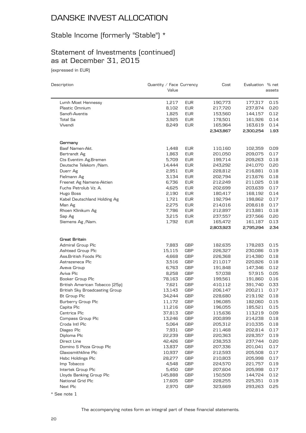# Stable Income (formerly "Stable") \*

# Statement of Investments (continued) as at December 31, 2015

(expressed in EUR)

| Description                           | Quantity / Face Currency |                   | Cost               | Evaluation % net   |              |
|---------------------------------------|--------------------------|-------------------|--------------------|--------------------|--------------|
|                                       | Value                    |                   |                    |                    | assets       |
| Lvmh Moet Hennessy                    | 1,217                    | <b>EUR</b>        | 190,773            | 177,317            | 0.15         |
| Plastic Omnium                        | 8,102                    | <b>EUR</b>        | 217,720            | 237,874            | 0.20         |
| Sanofi-Aventis                        | 1,825                    | <b>EUR</b>        | 153,560            | 144,157            | 0.12         |
| Total Sa                              | 3,925                    | <b>EUR</b>        | 178,501            | 161,926            | 0.14         |
| Vivendi                               | 8,249                    | <b>EUR</b>        | 165,964            | 163,619            | 0.14         |
|                                       |                          |                   | 2,343,867          | 2,300,254          | 1.93         |
| Germany                               |                          |                   |                    |                    |              |
| Basf Namen-Akt.                       | 1,448                    | <b>EUR</b>        | 110,160            | 102,359            | 0.09         |
| Bertrandt Ag                          | 1,863                    | <b>EUR</b>        | 201,050            | 209,075            | 0.17         |
| Cts Eventim Ag.Bremen                 | 5,709                    | <b>EUR</b>        | 199,714            | 209,263            | 0.18         |
| Deutsche Telekom / Nam.               | 14,444                   | <b>EUR</b>        | 243,292            | 241,070            | 0.20         |
| Duerr Ag                              | 2,951                    | <b>EUR</b>        | 228,812            | 216,881            | 0.18         |
| Fielmann Ag                           | 3,134                    | <b>EUR</b>        | 202,794            | 213,676            | 0.18         |
| Freenet Ag Namens-Aktien              | 6,736                    | <b>EUR</b>        | 212,249            | 211,025            | 0.18         |
| Fuchs Petrolub Vz. A.                 | 4,625                    | <b>EUR</b>        | 202,699            | 203,639            | 0.17         |
| Hugo Boss                             | 2,190                    | <b>EUR</b>        | 180,417            | 168,192            | 0.14         |
| Kabel Deutschland Holding Ag          | 1,721                    | <b>EUR</b>        | 192,794            | 198,862            | 0.17         |
| Man Ag                                | 2,275                    | <b>EUR</b>        | 214,016            | 208,618            | 0.17         |
| Rhoen Klinikum Ag                     | 7,786                    | <b>EUR</b>        | 212,897            | 213,881            | 0.18         |
| Sap Ag                                | 3,215                    | <b>EUR</b>        | 237,557            | 237,566            | 0.20         |
| Siemens Ag /Nam.                      | 1,792                    | <b>EUR</b>        | 165,472            | 161,187            | 0.13         |
|                                       |                          |                   | 2,803,923          | 2,795,294          | 2.34         |
| Great Britain                         |                          |                   |                    |                    |              |
| Admiral Group Plc                     | 7,883                    | GBP               | 182,635            | 178,283            | 0.15         |
| Ashtead Group Plc                     | 15,115                   | <b>GBP</b>        | 226,327            | 230,086            | 0.19         |
| Ass.British Foods Plc                 | 4,668                    | <b>GBP</b>        | 226,368            | 214,380            | 0.18         |
| Astrazeneca Plc                       | 3,516                    | <b>GBP</b>        | 211,017            | 220,826            | 0.18         |
| Aveva Group                           | 6,763                    | <b>GBP</b>        | 191,848            | 147,346            | 0.12         |
| Aviva Plc                             | 8,258                    | <b>GBP</b>        | 57,038             | 57,915             | 0.05         |
| Booker Group Plc                      | 78,163                   | GBP               | 199,561            | 191,860            | 0.16         |
| British American Tobacco (25p)        | 7,621                    | <b>GBP</b>        | 410,112            | 391,740            | 0.33         |
| <b>British Sky Broadcasting Group</b> | 13,143                   | <b>GBP</b>        | 206,147            | 200,211            | 0.17<br>0.18 |
| Bt Group Plc                          | 34,244                   | GBP<br><b>GBP</b> | 228,680            | 219,192<br>182,060 | 0.15         |
| Burberry Group Plc<br>Capita Plc      | 11,172<br>11,216         | <b>GBP</b>        | 196,085<br>196,055 | 185,521            | 0.15         |
| Centrica Plc                          | 37,813                   | <b>GBP</b>        | 115,636            | 113,219            | 0.09         |
| Compass Group Plc                     | 13,246                   | GBP               | 200,899            | 214,238            | 0.18         |
| Croda Intl Plc                        | 5,064                    | <b>GBP</b>        | 205,312            | 210,335            | 0.18         |
| Diageo Plc                            | 7,931                    | GBP               | 211,468            | 202,814            | 0.17         |
| Diploma Plc                           | 22,239                   | GBP               | 220,363            | 228,357            | 0.19         |
| Direct Line                           | 42,426                   | <b>GBP</b>        | 238,353            | 237,744            | 0.20         |
| Domino S Pizza Group Plc              | 13,837                   | GBP               | 207,336            | 201,041            | 0.17         |
| Glaxosmithkline Plc                   | 10,937                   | <b>GBP</b>        | 212,593            | 205,508            | 0.17         |
| Hsbc Holdings Plc                     | 28,277                   | <b>GBP</b>        | 210,803            | 205,998            | 0.17         |
| Imp Tobacco                           | 4,548                    | GBP               | 224,570            | 221,757            | 0.19         |
| Intertek Group Plc                    | 5,450                    | GBP               | 207,604            | 205,998            | 0.17         |
| Lloyds Banking Group Plc              | 145,888                  | <b>GBP</b>        | 150,509            | 144,724            | 0.12         |
| National Grid Plc                     | 17,605                   | GBP               | 228,255            | 225,351            | 0.19         |
| Next Plc                              | 2,970                    | <b>GBP</b>        | 323,669            | 293,263            | 0.25         |

\* See note 1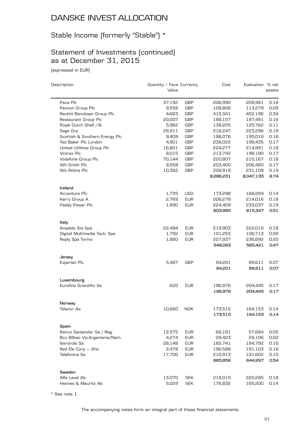# Stable Income (formerly "Stable") \*

### Statement of Investments (continued) as at December 31, 2015

(expressed in EUR)

| Description                    | Quantity / Face Currency<br>Value |            | Cost               | Evaluation % net   | assets       |
|--------------------------------|-----------------------------------|------------|--------------------|--------------------|--------------|
| Pace Plc                       | 37,192                            | GBP        | 206,990            | 209,981            | 0.18         |
| Pennon Group Plc               | 9,558                             | <b>GBP</b> | 108,806            | 113,279            | 0.09         |
| Reckitt Benckiser Group Plc    | 4,683                             | <b>GBP</b> | 415,341            | 402,196            | 0.34         |
| Restaurant Group Plc           | 20,007                            | <b>GBP</b> | 188,157            | 187,491            | 0.16         |
| Royal Dutch Shell /-B-         | 5,962                             | <b>GBP</b> | 138,205            | 125,762            | 0.11         |
| Sage Grp                       | 26,911                            | <b>GBP</b> | 216,247            | 223,296            | 0.19         |
| Scottish & Southern Energy Plc | 9,409                             | <b>GBP</b> | 196,076            | 195,019            | 0.16         |
| Ted Baker Plc London           | 4,901                             | <b>GBP</b> | 238,022            | 199,435            | 0.17         |
| United Utilities Group Plc     | 16,801                            | <b>GBP</b> | 224,277            | 214,991            | 0.18         |
| Victrex Plc                    | 8,015                             | <b>GBP</b> | 213,742            | 198,180            | 0.17         |
| Vodafone Group Plc             | 70,144                            | <b>GBP</b> | 220,807            | 210,167            | 0.18         |
| Wh Smith Plc                   | 8,558                             | <b>GBP</b> | 203,400            | 206,460            | 0.17         |
| Ws Atkins Plc                  | 10,362                            | <b>GBP</b> | 226,918            | 231,109            | 0.19         |
|                                |                                   |            | 8,286,231          | 8,047,133          | 6.74         |
| Ireland                        |                                   |            |                    |                    |              |
| Accenture Plc                  | 1,735                             | <b>USD</b> | 173,298            | 168,294            | 0.14         |
| Kerry Group A                  | 2,769                             | <b>EUR</b> | 206,278            | 214,016            | 0.18         |
| Paddy Power Plc                | 1,890                             | <b>EUR</b> | 224,409            | 233,037            | 0.19         |
|                                |                                   |            | 603,985            | 615,347            | 0.51         |
| Italy                          |                                   |            |                    |                    |              |
| Ansaldo Sts Spa                | 22,494                            | <b>EUR</b> | 219,903            | 222,016            | 0.18         |
| Digital Multimedia Tech. Spa   | 1,792                             | <b>EUR</b> | 101,253            | 106,713            | 0.09         |
| Reply Spa Torino               | 1,880                             | <b>EUR</b> | 227,937<br>549,093 | 236,692<br>565,421 | 0.20<br>0.47 |
|                                |                                   |            |                    |                    |              |
| Jersey<br>Experian Plc         | 5,487                             | GBP        | 94,201             | 89,611             | 0.07         |
|                                |                                   |            | 94,201             | 89,611             | 0.07         |
| Luxembourg                     |                                   |            |                    |                    |              |
| Eurofins Scientific Sa         | 620                               | <b>EUR</b> | 196,976            | 204,445            | 0.17         |
|                                |                                   |            | 196,976            | 204,445            | 0.17         |
| Norway                         |                                   |            |                    |                    |              |
| Telenor As                     | 10,660                            | <b>NOK</b> | 173,515            | 164,153            | 0.14         |
|                                |                                   |            | 173,515            | 164,153            | 0.14         |
| Spain                          |                                   |            |                    |                    |              |
| Banco Santander Sa / Reg.      | 12,575                            | <b>EUR</b> | 66,191             | 57,694             | 0.05         |
| Bco Bilbao Viz.Argentaria/Nam. | 4,274                             | <b>EUR</b> | 29,423             | 29,106             | 0.02         |
| Iberdrola Sa                   | 28,148                            | <b>EUR</b> | 182,741            | 184,792            | 0.16         |
| Red Ele Corp - Shs             | 2,478                             | <b>EUR</b> | 196,588            | 191,103            | 0.16         |
| Telefonica Sa                  | 17,700                            | EUR        | 210,913            | 181,602            | 0.15         |
|                                |                                   |            | 685,856            | 644,297            | 0.54         |
| Sweden                         |                                   |            |                    |                    |              |
| Alfa Laval Ab                  | 13,070                            | <b>SEK</b> | 218,015            | 220,285            | 0.18         |
| Hennes & Mauritz Ab            | 5,029                             | <b>SEK</b> | 176,832            | 165,200            | 0.14         |

\* See note 1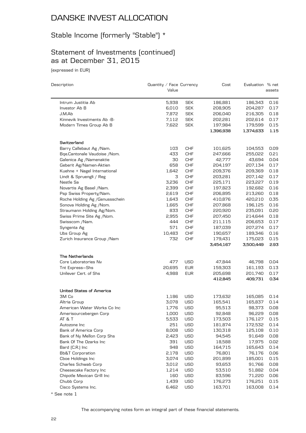# Stable Income (formerly "Stable") \*

# Statement of Investments (continued) as at December 31, 2015

(expressed in EUR)

| Description                     | Quantity / Face Currency |            | Cost      | Evaluation % net |        |
|---------------------------------|--------------------------|------------|-----------|------------------|--------|
|                                 | Value                    |            |           |                  | assets |
| Intrum Justitia Ab              | 5,938                    | <b>SEK</b> | 186,881   | 186,343          | 0.16   |
| Investor Ab B                   | 6,010                    | <b>SEK</b> | 208,905   | 204,287          | 0.17   |
| J.M.Ab                          | 7,872                    | <b>SEK</b> | 206,040   | 216,305          | 0.18   |
| Kinnevik Investments Ab -B-     | 7,112                    | <b>SEK</b> | 202,281   | 202,614          | 0.17   |
| Modern Times Group Ab B         | 7,622                    | <b>SEK</b> | 197,984   | 179,599          | 0.15   |
|                                 |                          |            | 1,396,938 | 1,374,633        | 1.15   |
| Switzerland                     |                          |            |           |                  |        |
| Barry Callebaut Ag /Nam.        | 103                      | <b>CHF</b> | 101,625   | 104,553          | 0.09   |
| Bqe.Cantonale Vaudoise /Nom.    | 433                      | <b>CHF</b> | 247,666   | 255,022          | 0.21   |
| Galenica Ag /Namenaktie         | 30                       | <b>CHF</b> | 42,777    | 43,694           | 0.04   |
| Geberit Ag/Namen-Aktien         | 658                      | <b>CHF</b> | 204,197   | 207,134          | 0.17   |
| Kuehne + Nagel International    | 1,642                    | <b>CHF</b> | 209,376   | 209,369          | 0.18   |
| Lindt & Spruengli / Reg         | 3                        | <b>CHF</b> | 203,281   | 207,142          | 0.17   |
| Nestle Sa                       | 3,236                    | <b>CHF</b> | 225,171   | 223,227          | 0.19   |
| Novartis Ag Basel / Nam.        | 2,399                    | <b>CHF</b> | 197,823   | 192,682          | 0.16   |
| Psp Swiss Property/Nam.         | 2,619                    | <b>CHF</b> | 206,895   | 213,260          | 0.18   |
| Roche Holding Ag / Genussschein | 1,643                    | <b>CHF</b> | 410,876   | 420,210          | 0.35   |
| Sonova Holding Ag / Nom.        | 1,665                    | <b>CHF</b> | 207,868   | 196,125          | 0.16   |
| Straumann Holding Ag/Nom.       | 833                      | <b>CHF</b> | 220,920   | 235,091          | 0.20   |
| Swiss Prime Site Ag /Nom.       | 2,955                    | <b>CHF</b> | 207,450   | 214,644          | 0.18   |
| Swisscom /Nam.                  | 444                      | <b>CHF</b> | 211,115   | 206,653          | 0.17   |
| Syngenta Ag                     | 571                      | <b>CHF</b> | 187,039   | 207,274          | 0.17   |
| Ubs Group Ag                    | 10,483                   | <b>CHF</b> | 190,657   | 189,346          | 0.16   |
| Zurich Insurance Group / Nam    | 732                      | <b>CHF</b> | 179,431   | 175,023          | 0.15   |
|                                 |                          |            | 3,454,167 | 3,500,449        | 2.93   |
| The Netherlands                 |                          |            |           |                  |        |
| Core Laboratories Nv            | 477                      | <b>USD</b> | 47,844    | 46,798           | 0.04   |
| Tnt Express-Shs                 | 20,695                   | <b>EUR</b> | 159,303   | 161,193          | 0.13   |
| Unilever Cert. of Shs           | 4,988                    | <b>EUR</b> | 205,698   | 201,740          | 0.17   |
|                                 |                          |            | 412,845   | 409,731          | 0.34   |
| <b>United States of America</b> |                          |            |           |                  |        |
| 3M Co                           | 1,186                    | <b>USD</b> | 173,632   | 165,085          | 0.14   |
| Altria Group                    | 3,078                    | <b>USD</b> | 165,541   | 165,837          | 0.14   |
| American Water Works Co Inc     | 1,776                    | <b>USD</b> | 95,513    | 98,373           | 0.08   |
| Amerisourcebergen Corp          | 1,000                    | <b>USD</b> | 92,848    | 96,229           | 0.08   |
| AT & T                          | 5,533                    | USD        | 173,503   | 176,127          | 0.15   |
| Autozone Inc                    | 251                      | USD        | 181,874   | 172,532          | 0.14   |
| <b>Bank of America Corp</b>     | 8,008                    | USD        | 130,318   | 125,108          | 0.10   |
| Bank of Ny Mellon Corp Shs      | 2,423                    | USD        | 94,545    | 91,649           | 0.08   |
| Bank Of The Ozarks Inc          | 391                      | <b>USD</b> | 18,588    | 17,975           | 0.02   |
| Bard (C.R.) Inc                 | 948                      | USD        | 164,715   | 165,643          | 0.14   |
| <b>Bb&amp;T</b> Corporation     | 2,178                    | <b>USD</b> | 76,801    | 76,176           | 0.06   |
| Cboe Holdings Inc               | 3,074                    | USD        | 201,899   | 185,001          | 0.15   |
| Charles Schwab Corp             | 3,012                    | USD        | 93,653    | 91,766           | 0.08   |
| Cheesecake Factory Inc          | 1,214                    | <b>USD</b> | 53,510    | 51,882           | 0.04   |
| Chipotle Mexican Grill Inc      | 160                      | USD        | 83,596    | 71,220           | 0.06   |
| Chubb Corp                      | 1,439                    | USD        | 176,273   | 176,251          | 0.15   |
| Cisco Systems Inc.              | 6,462                    | USD        | 163,701   | 163,008          | 0.14   |
|                                 |                          |            |           |                  |        |

<sup>\*</sup> See note 1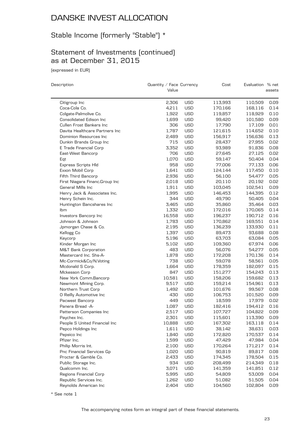# Stable Income (formerly "Stable") \*

### Statement of Investments (continued) as at December 31, 2015

(expressed in EUR)

 $\overline{a}$ 

| Description                                       | Quantity / Face Currency<br>Value |                          | Cost               | Evaluation % net   | assets       |
|---------------------------------------------------|-----------------------------------|--------------------------|--------------------|--------------------|--------------|
|                                                   |                                   |                          |                    |                    |              |
| Citigroup Inc<br>Coca-Cola Co.                    | 2,306<br>4,211                    | <b>USD</b><br><b>USD</b> | 113,993<br>170,166 | 110,509<br>168,116 | 0.09<br>0.14 |
|                                                   |                                   | <b>USD</b>               |                    | 118,929            | 0.10         |
| Colgate-Palmolive Co.<br>Consolidated Edison Inc. | 1,922                             | <b>USD</b>               | 119,857            |                    |              |
|                                                   | 1,699                             |                          | 99,420             | 101,580            | 0.09         |
| Cullen Frost Bankers Inc                          | 306                               | <b>USD</b>               | 17,790             | 17,109             | 0.01         |
| Davita Healthcare Partners Inc                    | 1,787                             | <b>USD</b>               | 121,615            | 114,652            | 0.10         |
| Dominion Resources Inc                            | 2,489                             | <b>USD</b>               | 156,917            | 156,636            | 0.13         |
| Dunkin Brands Group Inc                           | 715                               | <b>USD</b>               | 28,437             | 27,955             | 0.02         |
| E Trade Financial Corp                            | 3,352                             | USD                      | 93,989             | 91,836             | 0.08         |
| East-West Bancorp                                 | 706                               | USD                      | 27,645             | 27,125             | 0.02         |
| Eqt                                               | 1,070                             | <b>USD</b>               | 59,147             | 50,404             | 0.04         |
| <b>Express Scripts Hld</b>                        | 958                               | <b>USD</b>               | 77,006             | 77,133             | 0.06         |
| Exxon Mobil Corp                                  | 1,641                             | <b>USD</b>               | 124,144            | 117,450            | 0.10         |
| Fifth Third Bancorp                               | 2,936                             | <b>USD</b>               | 56,100             | 54,477             | 0.05         |
| First Niagara Financ.Group Inc                    | 2,018                             | USD                      | 20,110             | 20,192             | 0.02         |
| General Mills Inc                                 | 1,911                             | USD                      | 103,045            | 102,541            | 0.09         |
| Henry Jack & Associates Inc.                      | 1,995                             | <b>USD</b>               | 146,453            | 144,395            | 0.12         |
| Henry Schein Inc.                                 | 344                               | <b>USD</b>               | 49,790             | 50,405             | 0.04         |
| Huntington Bancshares Inc                         | 3,465                             | <b>USD</b>               | 35,860             | 35,464             | 0.03         |
| Ibm                                               | 1,332                             | <b>USD</b>               | 172,016            | 170,065            | 0.14         |
| Investors Bancorp Inc                             | 16,558                            | USD                      | 196,237            | 190,712            | 0.16         |
| Johnson & Johnson                                 | 1,783                             | USD                      | 170,862            | 169,551            | 0.14         |
| Jpmorgan Chase & Co.                              | 2,195                             | <b>USD</b>               | 136,239            | 133,930            | 0.11         |
| Kellogg Co                                        | 1,397                             | <b>USD</b>               | 89,473             | 93,688             | 0.08         |
| Keycorp                                           | 5,196                             | <b>USD</b>               | 63,703             | 63,084             | 0.05         |
| Kinder Morgan Inc                                 | 5,102                             | <b>USD</b>               | 109,360            | 67,974             | 0.06         |
| <b>M&amp;T Bank Corporation</b>                   | 483                               | <b>USD</b>               | 56,076             | 54,277             | 0.05         |
| Mastercard Inc. Shs-A-                            | 1,878                             | USD                      | 172,208            | 170,136            | 0.14         |
| Mc-Cormick&Co/N.Voting                            | 738                               | <b>USD</b>               | 59,078             | 58,561             | 0.05         |
| Mcdonald S Corp.                                  | 1,664                             | <b>USD</b>               | 178,359            | 182,097            | 0.15         |
| Mckesson Corp                                     | 847                               | <b>USD</b>               | 151,277            | 154,243            | 0.13         |
| New York Comm.Bancorp                             | 10,581                            | <b>USD</b>               | 158,206            | 159,682            | 0.13         |
| Newmont Mining Corp.                              | 9,517                             | USD                      | 159,214            | 154,961            | 0.13         |
| Northern Trust Corp                               | 1,492                             | USD                      | 101,676            | 99,567             | 0.08         |
| O Reilly Automotive Inc                           | 430                               | <b>USD</b>               | 106,753            | 101,520            | 0.09         |
| Pacwest Bancorp                                   | 449                               | <b>USD</b>               | 18,599             | 17,979             | 0.02         |
| Panera Bread -A-                                  | 1,087                             | <b>USD</b>               | 182,416            | 194,412            | 0.16         |
| Patterson Companies Inc                           | 2,517                             | <b>USD</b>               | 107,727            | 104,822            | 0.09         |
| Paychex Inc.                                      | 2,301                             | <b>USD</b>               | 115,601            | 113,390            | 0.09         |
| People S United Financial Inc                     | 10,888                            | USD                      | 167,302            | 163,118            | 0.14         |
| Pepco Holdings Inc                                | 1,611                             | USD                      | 38,142             | 38,631             | 0.03         |
| Pepsico Inc                                       | 1,840                             | <b>USD</b>               | 172,820            | 170,537            | 0.14         |
| Pfizer Inc.                                       | 1,599                             | USD                      | 47,429             | 47,984             | 0.04         |
| Philip Morris Int.                                | 2,100                             | USD                      | 170,264            | 171,217            | 0.14         |
| Pnc Financial Services Gp                         | 1,020                             | USD                      | 90,819             | 89,817             | 0.08         |
| Procter & Gamble Co.                              | 2,433                             | USD                      | 174,345            | 178,504            | 0.15         |
| Public Storage Inc.                               | 934                               | USD                      | 208,499            | 214,349            | 0.18         |
| Qualcomm Inc.                                     | 3,071                             | <b>USD</b>               | 141,359            | 141,851            | 0.12         |
| Regions Financial Corp                            | 5,995                             | USD                      | 54,809             | 53,009             | 0.04         |
| Republic Services Inc.                            | 1,262                             | USD                      | 51,082             | 51,505             | 0.04         |
| Reynolds American Inc                             | 2,404                             | USD                      | 104,560            | 102,804            | 0.09         |

\* See note 1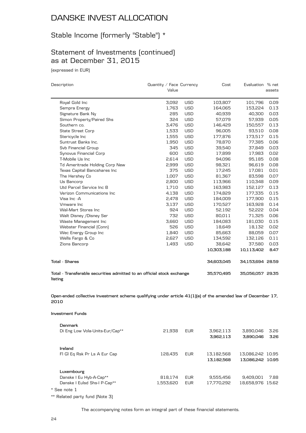### Stable Income (formerly "Stable") \*

### Statement of Investments (continued) as at December 31, 2015

(expressed in EUR)

| Description                                                                                                          | Quantity / Face Currency<br>Value |            | Cost                     | Evaluation % net                     | assets       |
|----------------------------------------------------------------------------------------------------------------------|-----------------------------------|------------|--------------------------|--------------------------------------|--------------|
| Royal Gold Inc                                                                                                       | 3,092                             | <b>USD</b> | 103,807                  | 101,796                              | 0.09         |
| Sempra Energy                                                                                                        | 1,763                             | <b>USD</b> | 164,065                  | 153,224                              | 0.13         |
| Signature Bank Ny                                                                                                    | 285                               | <b>USD</b> | 40,939                   | 40,300                               | 0.03         |
| Simon Property/Paired Shs                                                                                            | 324                               | <b>USD</b> | 57,079                   | 57,939                               | 0.05         |
| Southern co.                                                                                                         | 3,476                             | <b>USD</b> | 146,429                  | 150,557                              | 0.13         |
| <b>State Street Corp</b>                                                                                             | 1,533                             | <b>USD</b> | 96,005                   | 93,510                               | 0.08         |
| Stericycle Inc                                                                                                       | 1,555                             | <b>USD</b> | 177,876                  | 173,517                              | 0.15         |
| Suntrust Banks Inc.                                                                                                  | 1,950                             | <b>USD</b> | 78,870                   | 77,385                               | 0.06         |
| Svb Financial Group                                                                                                  | 345                               | <b>USD</b> | 39,540                   | 37,849                               | 0.03         |
| Synovus Financial Corp                                                                                               | 600                               | <b>USD</b> | 17,899                   | 17,983                               | 0.02         |
| T-Mobile Us Inc                                                                                                      | 2,614                             | <b>USD</b> | 94,096                   | 95,185                               | 0.08         |
| Td Ameritrade Holding Corp New                                                                                       | 2,999                             | <b>USD</b> | 98,321                   | 96,619                               | 0.08         |
| Texas Capital Bancshares Inc                                                                                         | 375                               | <b>USD</b> | 17,245                   | 17,081                               | 0.01         |
| The Hershey Co                                                                                                       | 1,007                             | <b>USD</b> | 81,367                   | 83,598                               | 0.07         |
| Us Bancorp                                                                                                           | 2,800                             | USD        | 113,966                  | 110,348                              | 0.09         |
| Utd Parcel Service Inc B                                                                                             | 1,710                             | <b>USD</b> | 163,983                  | 152,127                              | 0.13         |
| Verizon Communications Inc                                                                                           | 4,138                             | <b>USD</b> | 174,829                  | 177,335                              | 0.15         |
| Visa Inc -A                                                                                                          | 2,478                             | USD        | 184,009                  | 177,900                              | 0.15         |
| Vmware Inc                                                                                                           | 3,137                             | <b>USD</b> | 170,527                  | 163,928                              | 0.14         |
| Wal-Mart Stores Inc                                                                                                  | 924                               | <b>USD</b> | 52,192                   | 52,222                               | 0.04         |
| Walt Disney / Disney Ser                                                                                             | 732                               | <b>USD</b> | 80,011                   | 71,325                               | 0.06         |
| Waste Management Inc                                                                                                 | 3,660                             | <b>USD</b> | 184,083                  | 181,030                              | 0.15         |
| Webster Financial (Conn)                                                                                             | 526                               | <b>USD</b> | 18,649                   | 18,132                               | 0.02         |
| Wec Energy Group Inc                                                                                                 | 1,840                             | USD        | 85,663                   | 88,059                               | 0.07         |
| Wells Fargo & Co                                                                                                     | 2,627                             | <b>USD</b> | 134,592                  | 132,126                              | 0.11         |
| Zions Bancorp                                                                                                        | 1,493                             | <b>USD</b> | 38,642                   | 37,580                               | 0.03         |
|                                                                                                                      |                                   |            | 10,303,188               | 10,113,402                           | 8.47         |
| <b>Total - Shares</b>                                                                                                |                                   |            | 34,603,045               | 34,153,694 28.59                     |              |
| Total - Transferable securities admitted to an official stock exchange<br>listing                                    |                                   |            | 35,570,495               | 35,056,057 29.35                     |              |
| Open-ended collective investment scheme qualifying under article 41(1)[e) of the amended law of December 17,<br>2010 |                                   |            |                          |                                      |              |
| Investment Funds                                                                                                     |                                   |            |                          |                                      |              |
| <b>Denmark</b>                                                                                                       |                                   |            |                          |                                      |              |
| Di Eng Low Vola-Units-Eur/Cap**                                                                                      | 21,938                            | <b>EUR</b> | 3,962,113<br>3,962,113   | 3,890,046<br>3,890,046               | 3.26<br>3.26 |
| Ireland                                                                                                              |                                   |            |                          |                                      |              |
| FI GI Eq Rsk Pr Ls A Eur Cap                                                                                         | 128,435                           | <b>EUR</b> | 13,182,568<br>13,182,568 | 13,086,242 10.95<br>13,086,242 10.95 |              |
| Luxembourg                                                                                                           |                                   |            |                          |                                      |              |
| Danske I Eu Hyb-A-Cap**                                                                                              | 818,174                           | <b>EUR</b> | 9,555,456                | 9,409,001                            | 7.88         |

\*\* Related party fund (Note 3)

The accompanying notes form an integral part of these financial statements.

Danske I Eulsd Shs-I P-Cap\*\* 1,553,620 EUR 17,770,292 18,658,976 15.62

\* See note 1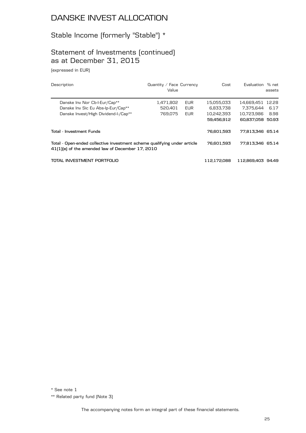# Stable Income (formerly "Stable") \*

### Statement of Investments (continued) as at December 31, 2015

(expressed in EUR)

| Description                                                                                                                   | Quantity / Face Currency<br>Value |            | Cost             | Evaluation % net  | assets |
|-------------------------------------------------------------------------------------------------------------------------------|-----------------------------------|------------|------------------|-------------------|--------|
| Danske Inv Nor Cb-I-Eur/Cap**                                                                                                 | 1,471,802                         | <b>EUR</b> | 15.055.033       | 14.669.451        | 12.28  |
| Danske Inv Sic Eu Abs-Ip-Eur/Cap**                                                                                            | 520.401                           | <b>EUR</b> | 6.833.738        | 7.375.644         | 6.17   |
| Danske Invest/High Dividend-I-/Cap**                                                                                          | 769.075                           | <b>EUR</b> | 10,242,393       | 10.723.986        | 8.98   |
|                                                                                                                               |                                   |            | 59,456,912       | 60.837.058 50.93  |        |
| Total - Investment Funds                                                                                                      |                                   |            | 76.601.593       | 77.813.346 65.14  |        |
| Total - Open-ended collective investment scheme qualifying under article<br>41(1) [e] of the amended law of December 17, 2010 |                                   | 76.601.593 | 77,813,346 65.14 |                   |        |
| TOTAL INVESTMENT PORTFOLIO                                                                                                    |                                   |            | 112.172.088      | 112,869,403 94,49 |        |

\*\* Related party fund (Note 3)

<sup>\*</sup> See note 1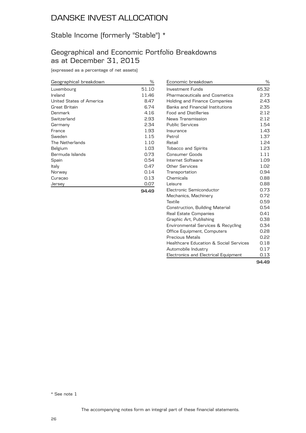# Stable Income (formerly "Stable") \*

### Geographical and Economic Portfolio Breakdowns as at December 31, 2015

(expressed as a percentage of net assets)

| Geographical breakdown   | %     |
|--------------------------|-------|
| Luxembourg               | 51.10 |
| Ireland                  | 11.46 |
| United States of America | 8.47  |
| Great Britain            | 6.74  |
| Denmark                  | 4.16  |
| Switzerland              | 2.93  |
| Germany                  | 2.34  |
| France                   | 1.93  |
| Sweden                   | 1.15  |
| The Netherlands          | 1.10  |
| Belgium                  | 1.03  |
| Bermuda Islands          | 0.73  |
| Spain                    | 0.54  |
| Italy                    | 0.47  |
| Norway                   | 0.14  |
| Curaçao                  | 0.13  |
| Jersey                   | 0.07  |
|                          | 94.49 |

| Economic breakdown                                | %     |
|---------------------------------------------------|-------|
| <b>Investment Funds</b>                           | 65.32 |
| <b>Pharmaceuticals and Cosmetics</b>              | 2.73  |
| <b>Holding and Finance Companies</b>              | 2.43  |
| Banks and Financial Institutions                  | 2.35  |
| <b>Food and Distilleries</b>                      | 2.12  |
| News Transmission                                 | 2.12  |
| <b>Public Services</b>                            | 1.54  |
| Insurance                                         | 1.43  |
| Petrol                                            | 1.37  |
| Retail                                            | 1.24  |
| <b>Tobacco and Spirits</b>                        | 1.23  |
| Consumer Goods                                    | 1.11  |
| Internet Software                                 | 1.09  |
| Other Services                                    | 1.02  |
| Transportation                                    | 0.94  |
| Chemicals                                         | 0.88  |
| Leisure                                           | 0.88  |
| Electronic Semiconductor                          | 0.73  |
| Mechanics, Machinery                              | 0.72  |
| Textile                                           | 0.59  |
| Construction, Building Material                   | 0.54  |
| Real Estate Companies                             | 0.41  |
| Graphic Art, Publishing                           | 0.38  |
| Environmental Services & Recycling                | 0.34  |
| Office Equipment, Computers                       | 0.28  |
| Precious Metals                                   | 0.22  |
| <b>Healthcare Education &amp; Social Services</b> | 0.18  |
| Automobile Industry                               | 0.17  |
| Electronics and Electrical Equipment              | 0.13  |
|                                                   | 94.49 |

\* See note 1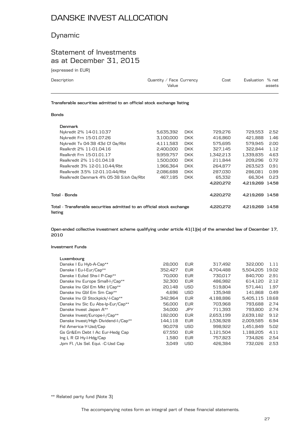### Dynamic

### Statement of Investments as at December 31, 2015

(expressed in EUR)

| Description                                                            | Quantity / Face Currency<br>Value | Cost | Evaluation % net | assets |
|------------------------------------------------------------------------|-----------------------------------|------|------------------|--------|
| Transferable securities admitted to an official stock exchange listing |                                   |      |                  |        |

#### **Bonds**

| Denmark                                                                           |           |            |           |                 |       |
|-----------------------------------------------------------------------------------|-----------|------------|-----------|-----------------|-------|
| Nykredit 2% 14-01.10.37                                                           | 5,635,392 | <b>DKK</b> | 729,276   | 729.553         | 2.52  |
| Nykredit Frn 15-01.07.26                                                          | 3.100.000 | <b>DKK</b> | 416,860   | 421.888         | 1.46  |
| Nykredit Tv 04-38 43d Cf 0a/Rbt                                                   | 4,111,583 | <b>DKK</b> | 575.695   | 579.945         | 2.00  |
| Realkrdt 2% 11-01.04.16                                                           | 2.400.000 | <b>DKK</b> | 327.145   | 322.844         | 1.12  |
| Realkrdt Frn 15-01.01.17                                                          | 9,959,757 | <b>DKK</b> | 1,342,213 | 1,339,835       | 4.63  |
| Realkredit 2% 11-01.04.18                                                         | 1,500,000 | <b>DKK</b> | 211.844   | 209.296         | 0.72  |
| Realkredit 3% 12-01.10.44/Rbt                                                     | 1,966,364 | <b>DKK</b> | 264,877   | 263.523         | 0.91  |
| Realkredit 3.5% 12-01.10.44/Rbt                                                   | 2,086,688 | <b>DKK</b> | 287,030   | 286.081         | 0.99  |
| Realkredit Danmark 4% 05-38 S.loh 0a/Rbt                                          | 467.185   | <b>DKK</b> | 65,332    | 66.304          | 0.23  |
|                                                                                   |           |            | 4.220.272 | 4.219.269       | 14.58 |
| Total - Bonds                                                                     |           |            | 4,220,272 | 4,219,269       | 14.58 |
| Total - Transferable securities admitted to an official stock exchange<br>listing |           |            | 4,220,272 | 4.219.269 14.58 |       |

**Open-ended collective investment scheme qualifying under article 41(1)(e) of the amended law of December 17, 2010**

#### **Investment Funds**

| Luxembourg                           |         |            |           |           |       |
|--------------------------------------|---------|------------|-----------|-----------|-------|
| Danske I Eu Hyb-A-Cap**              | 28,000  | <b>EUR</b> | 317,492   | 322,000   | 1.11  |
| Danske I Eu-I-Eur/Cap**              | 352.427 | <b>EUR</b> | 4.704.488 | 5.504.205 | 19.02 |
| Danske I Eulsd Shs-I P-Cap**         | 70,000  | <b>EUR</b> | 730,017   | 840.700   | 2.91  |
| Danske Inv Europe Small-I-/Cap**     | 32,300  | <b>EUR</b> | 486,982   | 614,120   | 2.12  |
| Danske Inv Gbl Em Mkt I/Cap**        | 20,148  | <b>USD</b> | 519,804   | 571.441   | 1.97  |
| Danske Inv Gbl Em Sm Cap**           | 4.696   | <b>USD</b> | 135.948   | 141,868   | 0.49  |
| Danske Inv GI Stockpick/-I-Cap**     | 342.964 | <b>EUR</b> | 4.188.886 | 5.405.115 | 18.68 |
| Danske Inv Sic Eu Abs-Ip-Eur/Cap**   | 56,000  | <b>EUR</b> | 703.968   | 793.688   | 2.74  |
| Danske Invest Japan A**              | 34.000  | <b>JPY</b> | 711,393   | 793.800   | 2.74  |
| Danske Invest/Europe-I-/Cap**        | 182,000 | <b>EUR</b> | 2.653.199 | 2,639,182 | 9.12  |
| Danske Invest/High Dividend-I-/Cap** | 144.118 | <b>EUR</b> | 1.536.928 | 2.009.585 | 6.94  |
| Fid America-Y-Usd/Cap                | 90.078  | <b>USD</b> | 998,922   | 1,451,849 | 5.02  |
| Gs Gr&Em Debt I Ac Eur-Hedg Cap      | 67,550  | <b>EUR</b> | 1,121,504 | 1,188,205 | 4.11  |
| Ing $L \, R \, Gl \, Hy-I-Hdg/Cap$   | 1,580   | <b>EUR</b> | 757.823   | 734.826   | 2.54  |
| Jpm Fl. /Us Sel. Equi. -C-Usd Cap    | 3,049   | <b>USD</b> | 426,384   | 732.026   | 2.53  |
|                                      |         |            |           |           |       |

\*\* Related party fund (Note 3)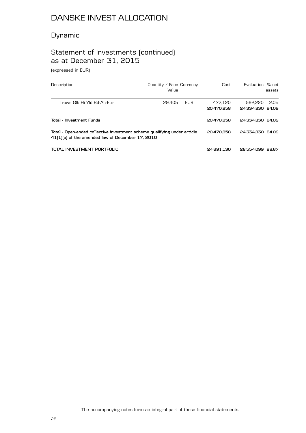### Dynamic

# Statement of Investments (continued) as at December 31, 2015

(expressed in EUR)

| Description                                                                                                                  | Quantity / Face Currency<br>Value |      | Cost       | Evaluation % net | assets |
|------------------------------------------------------------------------------------------------------------------------------|-----------------------------------|------|------------|------------------|--------|
| Trowe Glb Hi Yld Bd-Ah-Eur                                                                                                   | 29.405                            | EUR. | 477.120    | 592.220          | -2.05  |
|                                                                                                                              |                                   |      | 20.470.858 | 24,334,830 84,09 |        |
| Total - Investment Funds                                                                                                     |                                   |      | 20.470.858 | 24.334,830 84.09 |        |
| Total - Open-ended collective investment scheme qualifying under article<br>41(1)(e) of the amended law of December 17, 2010 |                                   |      | 20.470.858 | 24,334,830 84,09 |        |
| TOTAL INVESTMENT PORTFOLIO                                                                                                   |                                   |      | 24.691.130 | 28,554,099 98,67 |        |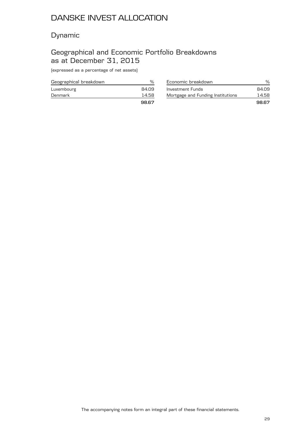### Dynamic

### Geographical and Economic Portfolio Breakdowns as at December 31, 2015

(expressed as a percentage of net assets)

| Geographical breakdown |       |
|------------------------|-------|
| Luxembourg             | 84.09 |
| Denmark                | 14.58 |
|                        | 98.67 |

| Economic breakdown                | %     |
|-----------------------------------|-------|
| Investment Funds                  | 84.09 |
| Mortgage and Funding Institutions | 14.58 |
|                                   | 98.67 |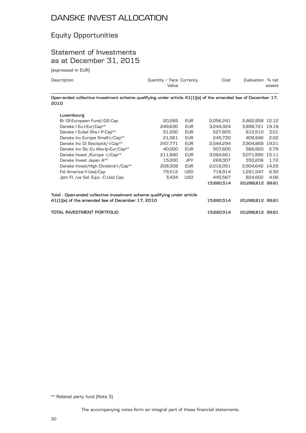# Equity Opportunities

### Statement of Investments as at December 31, 2015

(expressed in EUR)

| Description                                                                                                          | Quantity / Face Currency<br>Value |            | Cost       | Evaluation % net | assets |
|----------------------------------------------------------------------------------------------------------------------|-----------------------------------|------------|------------|------------------|--------|
| Open-ended collective investment scheme qualifying under article 41(1)(e) of the amended law of December 17,<br>2010 |                                   |            |            |                  |        |
| Luxembourg                                                                                                           |                                   |            |            |                  |        |
| Br Gf-European Fund/-D2-Cap                                                                                          | 20.269                            | <b>EUR</b> | 2.056.241  | 2.462.958 12.12  |        |
| Danske I Eu-I-Eur/Cap**                                                                                              | 249.630                           | <b>EUR</b> | 3,244,324  | 3.898.721 19.18  |        |
| Danske I Eulsd Shs-I P-Cap**                                                                                         | 51,000                            | <b>EUR</b> | 527,825    | 612.510          | 3.01   |
| Danske Inv Europe Small-I-/Cap**                                                                                     | 21.561                            | <b>EUR</b> | 245,730    | 409.946          | 2.02   |
| Danske Inv GI Stockpick/-I-Cap**                                                                                     | 247.771                           | <b>EUR</b> | 2.544.294  | 3.904.868        | 19.21  |
| Danske Inv Sic Eu Abs-Ip-Eur/Cap**                                                                                   | 40,000                            | <b>EUR</b> | 507,600    | 566.920          | 2.79   |
| Danske Invest / Europe - I-/ Cap**                                                                                   | 211,840                           | <b>EUR</b> | 3,084,661  | 3,071,892 15.11  |        |
| Danske Invest Japan A**                                                                                              | 15.000                            | <b>JPY</b> | 269,307    | 350.206          | 1.72   |
| Danske Invest/High Dividend-I-/Cap**                                                                                 | 208,308                           | <b>EUR</b> | 2,016,051  | 2.904.642 14.29  |        |
| Fid America-Y-Usd/Cap                                                                                                | 79,512                            | <b>USD</b> | 718,914    | 1,281,547        | 6.30   |
| Jpm Fl. /us Sel. Equi. -C-Usd Cap                                                                                    | 3,434                             | <b>USD</b> | 445,567    | 824.602          | 4.06   |
|                                                                                                                      |                                   |            | 15,660,514 | 20,288,812 99.81 |        |
| Total - Open-ended collective investment scheme qualifying under article                                             |                                   |            |            |                  |        |
| 41(1)(e) of the amended law of December 17, 2010                                                                     |                                   |            | 15,660,514 | 20,288,812 99.81 |        |
| TOTAL INVESTMENT PORTFOLIO                                                                                           |                                   |            | 15,660,514 | 20,288,812 99.81 |        |

\*\* Related party fund (Note 3)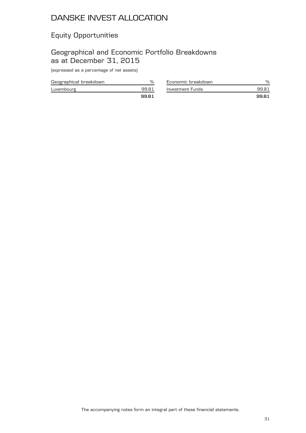# Equity Opportunities

### Geographical and Economic Portfolio Breakdowns as at December 31, 2015

(expressed as a percentage of net assets)

| Geographical breakdown |      |
|------------------------|------|
| Luxembourg             | 9981 |
|                        | 9981 |

| Economic breakdown |      |
|--------------------|------|
| Investment Funds   | 9981 |
|                    | 9981 |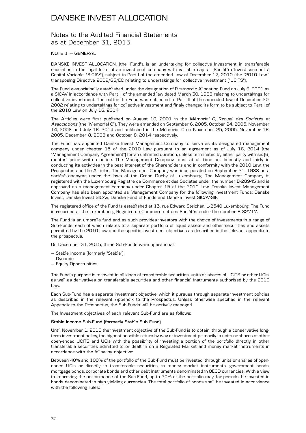### Notes to the Audited Financial Statements as at December 31, 2015

#### **NOTE 1 — GENERAL**

DANSKE INVEST ALLOCATION, (the "Fund"), is an undertaking for collective investment in transferable securities in the legal form of an investment company with variable capital (Société d'Investissement à Capital Variable, "SICAV"), subject to Part I of the amended Law of December 17, 2010 (the "2010 Law") transposing Directive 2009/65/EC relating to undertakings for collective investment ("UCITS").

The Fund was originally established under the designation of Firstnordic Allocation Fund on July 6, 2001 as a SICAV in accordance with Part II of the amended law dated March 30, 1988 relating to undertakings for collective investment. Thereafter the Fund was subjected to Part II of the amended law of December 20, 2002 relating to undertakings for collective investment and finaly changed its form to be subject to Part I of the 2010 Law on July 16, 2014.

The Articles were first published on August 10, 2001 in the *Mémorial C, Recueil des Sociétés et Associations* (the "Mémorial C"). They were amended on September 6, 2005, October 24, 2005, November 14, 2008 and July 16, 2014 and published in the Mémorial C on November 25, 2005, November 16, 2005, December 8, 2008 and October 8, 2014 respectively.

The Fund has appointed Danske Invest Management Company to serve as its designated management company under chapter 15 of the 2010 Law pursuant to an agreement as of July 16, 2014 (the "Management Company Agreement") for an unlimited duration, unless terminated by either party with six (6) months' prior written notice. The Management Company must at all time act honestly and fairly in conducting its activities in the best interest of the Shareholders and in conformity with the 2010 Law, the Prospectus and the Articles. The Management Company was incorporated on September 21, 1988 as a société anonyme under the laws of the Grand Duchy of Luxembourg. The Management Company is registered with the Luxembourg Registre de Commerce et des Sociétés under the number B-28945 and is approved as a management company under Chapter 15 of the 2010 Law. Danske Invest Management Company has also been appointed as Management Company for the following Investment Funds: Danske Invest, Danske Invest SICAV, Danske Fund of Funds and Danske Invest SICAV-SIF.

The registered office of the Fund is established at 13, rue Edward Steichen, L-2540 Luxembourg. The Fund is recorded at the Luxembourg Registre de Commerce et des Sociétés under the number B 82717.

The Fund is an umbrella fund and as such provides investors with the choice of investments in a range of Sub-Funds, each of which relates to a separate portfolio of liquid assets and other securities and assets permitted by the 2010 Law and the specific investment objectives as described in the relevant appendix to the prospectus.

On December 31, 2015, three Sub-Funds were operational:

- Stable Income (formerly "Stable")
- Dynamic
- Equity Opportunities

The Fund's purpose is to invest in all kinds of transferable securities, units or shares of UCITS or other UCIs, as well as derivatives on transferable securities and other financial instruments authorised by the 2010 Law.

Each Sub-Fund has a separate investment objective, which it pursues through separate investment policies as described in the relevant Appendix to the Prospectus. Unless otherwise specified in the relevant Appendix to the Prospectus, the Sub-Funds will be actively managed.

The investment objectives of each relevant Sub-Fund are as follows:

#### **Stable Income Sub-Fund (formerly Stable Sub Fund)**

Until November 1, 2015 the investment objective of the Sub-Fund is to obtain, through a conservative longterm investment policy, the highest possible return by way of investment primarily in units or shares of other open-ended UCITS and UCIs with the possibility of investing a portion of the portfolio directly in other transferable securities admitted to or dealt in on a Regulated Market and money market instruments in accordance with the following objective:

Between 40% and 100% of the portfolio of the Sub-Fund must be invested, through units or shares of openended UCIs or directly in transferable securities, in money market instruments, government bonds, mortgage bonds, corporate bonds and other debt instruments denominated in OECD currencies. With a view to improving the performance of the Sub-Fund, up to 20% of the portfolio may, for periods, be invested in bonds denominated in high yielding currencies. The total portfolio of bonds shall be invested in accordance with the following rules: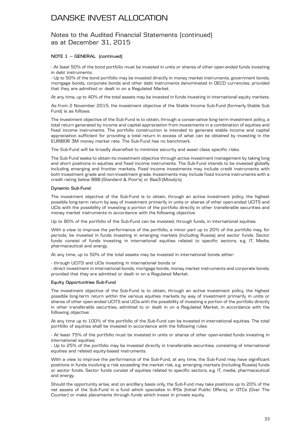### Notes to the Audited Financial Statements (continued) as at December 31, 2015

### **NOTE 1 — GENERAL (continued)**

- At least 50% of the bond portfolio must be invested in units or shares of other open-ended funds investing in debt instruments;

- Up to 50% of the bond portfolio may be invested directly in money market instruments, government bonds, mortgage bonds, corporate bonds and other debt instruments denominated in OECD currencies, provided that they are admitted or dealt in on a Regulated Market.

At any time, up to 40% of the total assets may be invested in funds investing in international equity markets.

As from 2 November 2015, the investment objective of the Stable Income Sub-Fund (formerly Stable Sub Fund) is as follows:

The investment objective of the Sub-Fund is to obtain, through a conservative long-term investment policy, a total return generated by income and capital appreciation from investments in a combination of equities and fixed income instruments. The portfolio construction is intended to generate stable income and capital appreciation sufficient for providing a total return in excess of what can be obtained by investing in the EURIBOR 3M money market rate. The Sub-Fund has no benchmark.

The Sub-Fund will be broadly diversified to minimize security and asset class specific risks.

The Sub-Fund seeks to obtain its investment objective through active investment management by taking long and short positions in equities and fixed income instruments. The Sub-Fund intends to be invested globally including emerging and frontier markets. Fixed income investments may include credit instruments with both investment grade and non-investment grade. Investments may include fixed income instruments with a credit rating below BBB-(Standard & Poor's) or Baa3-(Moody's).

### **Dynamic Sub-Fund**

The investment objective of the Sub-Fund is to obtain, through an active investment policy, the highest possible long-term return by way of investment primarily in units or shares of other open-ended UCITS and UCIs with the possibility of investing a portion of the portfolio directly in other transferable securities and money market instruments in accordance with the following objective:

Up to 80% of the portfolio of the Sub-Fund can be invested, through funds, in international equities.

With a view to improve the performance of the portfolio, a minor part up to 20% of the portfolio may, for periods, be invested in funds investing in emerging markets (including Russia) and sector funds. Sector funds consist of funds investing in international equities related to specific sectors, e.g. IT, Media, pharmaceutical and energy.

At any time, up to 50% of the total assets may be invested in international bonds either:

- through UCITS and UCIs investing in international bonds or

- direct investment in international bonds, mortgage bonds, money market instruments and corporate bonds, provided that they are admitted or dealt in on a Regulated Market.

#### **Equity Opportunities Sub-Fund**

The investment objective of the Sub-Fund is to obtain, through an active investment policy, the highest possible long-term return within the various equities markets by way of investment primarily in units or shares of other open-ended UCITS and UCIs with the possibility of investing a portion of the portfolio directly in other transferable securities, admitted to or dealt in on a Regulated Market, in accordance with the following objective:

At any time up to 100% of the portfolio of the Sub-Fund can be invested in international equities. The total portfolio of equities shall be invested in accordance with the following rules:

- At least 75% of the portfolio must be invested in units or shares of other open-ended funds investing in international equities;

- Up to 25% of the portfolio may be invested directly in transferable securities, consisting of international equities and related equity-based instruments.

With a view to improve the performance of the Sub-Fund, at any time, the Sub-Fund may have significant positions in funds involving a risk exceeding the market risk, e.g. emerging markets (including Russia) funds or sector funds. Sector funds consist of equities related to specific sectors, e.g. IT, media, pharmaceutical and energy.

Should the opportunity arise, and on ancillary basis only, the Sub-Fund may take positions up to 20% of the net assets of the Sub-Fund in a fund which specialize in IPOs (Initial Public Offers), or OTCs (Over The Counter) or make placements through funds which invest in private equity.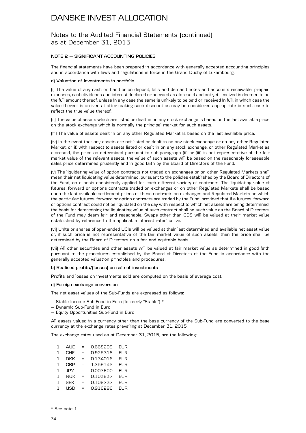### Notes to the Audited Financial Statements (continued) as at December 31, 2015

#### **NOTE 2 — SIGNIFICANT ACCOUNTING POLICIES**

The financial statements have been prepared in accordance with generally accepted accounting principles and in accordance with laws and regulations in force in the Grand Duchy of Luxembourg.

#### **a) Valuation of investments in portfolio**

(i) The value of any cash on hand or on deposit, bills and demand notes and accounts receivable, prepaid expenses, cash dividends and interest declared or accrued as aforesaid and not yet received is deemed to be the full amount thereof, unless in any case the same is unlikely to be paid or received in full, in which case the value thereof is arrived at after making such discount as may be considered appropriate in such case to reflect the true value thereof.

(ii) The value of assets which are listed or dealt in on any stock exchange is based on the last available price on the stock exchange which is normally the principal market for such assets.

(iii) The value of assets dealt in on any other Regulated Market is based on the last available price.

(iv) In the event that any assets are not listed or dealt in on any stock exchange or on any other Regulated Market, or if, with respect to assets listed or dealt in on any stock exchange, or other Regulated Market as aforesaid, the price as determined pursuant to sub-paragraph (ii) or (iii) is not representative of the fair market value of the relevant assets, the value of such assets will be based on the reasonably foreseeable sales price determined prudently and in good faith by the Board of Directors of the Fund.

(v) The liquidating value of option contracts not traded on exchanges or on other Regulated Markets shall mean their net liquidating value determined, pursuant to the policies established by the Board of Directors of the Fund, on a basis consistently applied for each different variety of contracts. The liquidating value of futures, forward or options contracts traded on exchanges or on other Regulated Markets shall be based upon the last available settlement prices of these contracts on exchanges and Regulated Markets on which the particular futures, forward or option contracts are traded by the Fund; provided that if a futures, forward or options contract could not be liquidated on the day with respect to which net assets are being determined, the basis for determining the liquidating value of such contract shall be such value as the Board of Directors of the Fund may deem fair and reasonable. Swaps other than CDS will be valued at their market value established by reference to the applicable interest rates' curve.

(vi) Units or shares of open-ended UCIs will be valued at their last determined and available net asset value or, if such price is not representative of the fair market value of such assets, then the price shall be determined by the Board of Directors on a fair and equitable basis.

(vii) All other securities and other assets will be valued at fair market value as determined in good faith pursuant to the procedures established by the Board of Directors of the Fund in accordance with the generally accepted valuation principles and procedures.

#### **b) Realised profits/(losses) on sale of investments**

Profits and losses on investments sold are computed on the basis of average cost.

#### **c) Foreign exchange conversion**

The net asset values of the Sub-Funds are expressed as follows:

- Stable Income Sub-Fund in Euro (formerly "Stable") \*
- Dynamic Sub-Fund in Euro
- Equity Opportunities Sub-Fund in Euro

All assets valued in a currency other than the base currency of the Sub-Fund are converted to the base currency at the exchange rates prevailing at December 31, 2015.

The exchange rates used as at December 31, 2015, are the following:

| 1            | AUD        | $=$ | 0.668209 | <b>EUR</b> |
|--------------|------------|-----|----------|------------|
| 1            | <b>CHF</b> | $=$ | 0.925318 | <b>EUR</b> |
| 1            | <b>DKK</b> | $=$ | 0.134016 | <b>EUR</b> |
| $\mathbf{1}$ | <b>GBP</b> | $=$ | 1.359142 | <b>EUR</b> |
| $\mathbf{1}$ | <b>JPY</b> | $=$ | 0.007600 | <b>EUR</b> |
| 1            | NOK        | $=$ | 0.103837 | <b>EUR</b> |
| 1            | <b>SEK</b> | $=$ | 0.108737 | <b>EUR</b> |
| 1            | USD        | $=$ | 0.916296 | <b>EUR</b> |

\* See note 1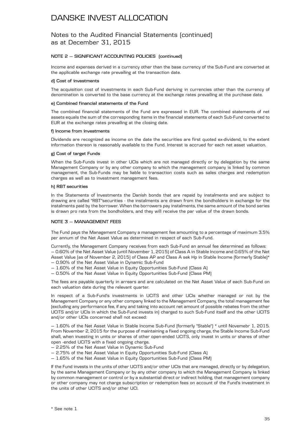### Notes to the Audited Financial Statements (continued) as at December 31, 2015

### **NOTE 2 — SIGNIFICANT ACCOUNTING POLICIES (continued)**

Income and expenses derived in a currency other than the base currency of the Sub-Fund are converted at the applicable exchange rate prevailing at the transaction date.

#### **d) Cost of investments**

The acquisition cost of investments in each Sub-Fund deriving in currencies other than the currency of denomination is converted to the base currency at the exchange rates prevailing at the purchase date.

#### **e) Combined financial statements of the Fund**

The combined financial statements of the Fund are expressed in EUR. The combined statements of net assets equals the sum of the corresponding items in the financial statements of each Sub-Fund converted to EUR at the exchange rates prevailing at the closing date.

#### **f) Income from investments**

Dividends are recognized as income on the date the securities are first quoted ex-dividend, to the extent information thereon is reasonably available to the Fund. Interest is accrued for each net asset valuation.

### **g) Cost of target Funds**

When the Sub-Funds invest in other UCIs which are not managed directly or by delegation by the same Management Company or by any other company to which the management company is linked by common management, the Sub-Funds may be liable to transaction costs such as sales charges and redemption charges as well as to investment management fees.

#### **h) RBT securities**

In the Statements of Investments the Danish bonds that are repaid by instalments and are subject to drawing are called "RBT"securities - the instalments are drawn from the bondholders in exchange for the instalments paid by the borrower. When the borrowers pay instalments, the same amount of the bond series is drawn pro rata from the bondholders, and they will receive the par value of the drawn bonds.

### **NOTE 3 — MANAGEMENT FEES**

The Fund pays the Management Company a management fee amounting to a percentage of maximum 3.5% per annum of the Net Asset Value as determined in respect of each Sub-Fund.

Currently, the Management Company receives from each Sub-Fund an annual fee determined as follows: — 0.60% of the Net Asset Value (until November 1, 2015) of Class A in Stable Income and 0.65% of the Net Asset Value (as of November 2, 2015) of Class AP and Class A sek Hp in Stable Income (formerly Stable)\*

— 0.90% of the Net Asset Value in Dynamic Sub-Fund

- 1.60% of the Net Asset Value in Equity Opportunities Sub-Fund (Class A)
- 0.50% of the Nat Asset Value in Equity Opportunities Sub-Fund (Class PM)

The fees are payable quarterly in arrears and are calculated on the Net Asset Value of each Sub-Fund on each valuation date during the relevant quarter.

In respect of a Sub-Fund's investments in UCITS and other UCIs whether managed or not by the Management Company or any other company linked to the Management Company, the total management fee (excluding any performance fee, if any and taking into account net amount of possible rebates from the other UCITS and/or UCIs in which the Sub-Fund invests in) charged to such Sub-Fund itself and the other UCITS and/or other UCIs concerned shall not exceed:

— 1.60% of the Net Asset Value in Stable Income Sub-Fund (formerly "Stable") \* until Novemebr 1, 2015. From November 2, 2015 for the purpose of maintaining a fixed ongoing charge, the Stable Income Sub-Fund shall, when investing in units or shares of other open-ended UCITS, only invest in units or shares of other open -ended UCITS with a fixed ongoing charge.

- 2.25% of the Net Asset Value in Dynamic Sub-Fund
- 2.75% of the Net Asset Value in Equity Opportunities Sub-Fund (Class A)
- 1.65% of the Nat Asset Value in Equity Opportunities Sub-Fund (Class PM)

If the Fund invests in the units of other UCITS and/or other UCIs that are managed, directly or by delegation, by the same Management Company or by any other company to which the Management Company is linked by common management or control or by a substantial direct or indirect holding, that management company or other company may not charge subscription or redemption fees on account of the Fund's investment in the units of other UCITS and/or other UCI.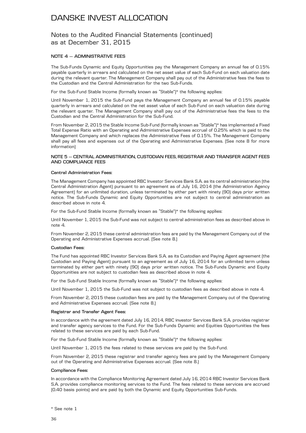### Notes to the Audited Financial Statements (continued) as at December 31, 2015

### **NOTE 4 — ADMINISTRATIVE FEES**

The Sub-Funds Dynamic and Equity Opportunities pay the Management Company an annual fee of 0.15% payable quarterly in arrears and calculated on the net asset value of each Sub-Fund on each valuation date during the relevant quarter. The Management Company shall pay out of the Administrative fees the fees to the Custodian and the Central Administration for the two Sub-Funds.

For the Sub-Fund Stable Income (formally known as "Stable")\* the following applies:

Until November 1, 2015 the Sub-Fund pays the Management Company an annual fee of 0.15% payable quarterly in arrears and calculated on the net asset value of each Sub-Fund on each valuation date during the relevant quarter. The Management Company shall pay out of the Administrative fees the fees to the Custodian and the Central Administration for the Sub-Fund.

From November 2, 2015 the Stable Income Sub-Fund (formally known as "Stable")\* has implemented a Fixed Total Expense Ratio with an Operating and Administrative Expenses accrual of 0.25% which is paid to the Management Company and which replaces the Administrative Fees of 0.15%. The Management Company shall pay all fees and expenses out of the Operating and Administrative Expenses. (See note 8 for more information)

#### **NOTE 5 — CENTRAL ADMINISTRATION, CUSTODIAN FEES, REGISTRAR AND TRANSFER AGENT FEES AND COMPLIANCE FEES**

#### **Central Administration Fees:**

The Management Company has appointed RBC Investor Services Bank S.A. as its central administration (the Central Administration Agent) pursuant to an agreement as of July 16, 2014 (the Administration Agency Agreement) for an unlimited duration, unless terminated by either part with ninety (90) days prior written notice. The Sub-Funds Dynamic and Equity Opportunities are not subject to central administration as described above in note 4.

For the Sub-Fund Stable Income (formally known as "Stable")\* the following applies:

Until November 1, 2015 the Sub-Fund was not subject to central administration fees as described above in note 4.

From November 2, 2015 these central administration fees are paid by the Management Company out of the Operating and Administrative Expenses accrual. (See note 8.)

### **Custodian Fees:**

The Fund has appointed RBC Investor Services Bank S.A. as its Custodian and Paying Agent agreement (the Custodian and Paying Agent) pursuant to an agreement as of July 16, 2014 for an unlimited term unless terminated by either part with ninety (90) days prior written notice. The Sub-Funds Dynamic and Equity Opportunities are not subject to custodian fees as described above in note 4.

For the Sub-Fund Stable Income (formally known as "Stable")\* the following applies:

Until November 1, 2015 the Sub-Fund was not subject to custodian fees as described above in note 4.

From November 2, 2015 these custodian fees are paid by the Management Company out of the Operating and Administrative Expenses accrual. (See note 8.)

#### **Registrar and Transfer Agent Fees:**

In accordance with the agreement dated July 16, 2014, RBC investor Services Bank S.A. provides registrar and transfer agency services to the Fund. For the Sub-Funds Dynamic and Equities Opportunities the fees related to these services are paid by each Sub-Fund.

For the Sub-Fund Stable Income (formally known as "Stable")\* the following applies:

Until November 1, 2015 the fees related to these services are paid by the Sub-Fund.

From November 2, 2015 these registrar and transfer agency fees are paid by the Management Company out of the Operating and Administrative Expenses accrual. (See note 8.)

### **Compliance Fees:**

In accordance with the Compliance Monitoring Agreement dated July 16, 2014 RBC Investor Services Bank S.A. provides compliance monitoring services to the Fund. The fees related to these services are accrued (0.40 basis points) and are paid by both the Dynamic and Equity Opportunities Sub-Funds.

\* See note 1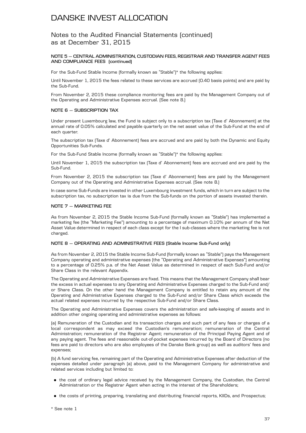### Notes to the Audited Financial Statements (continued) as at December 31, 2015

### **NOTE 5 — CENTRAL ADMINISTRATION, CUSTODIAN FEES, REGISTRAR AND TRANSFER AGENT FEES AND COMPLIANCE FEES (continued)**

For the Sub-Fund Stable Income (formally known as "Stable")\* the following applies:

Until November 1, 2015 the fees related to these services are accrued (0.40 basis points) and are paid by the Sub-Fund.

From November 2, 2015 these compliance monitoring fees are paid by the Management Company out of the Operating and Administrative Expenses accrual. (See note 8.)

### **NOTE 6 — SUBSCRIPTION TAX**

Under present Luxembourg law, the Fund is subject only to a subscription tax (Taxe d' Abonnement) at the annual rate of 0.05% calculated and payable quarterly on the net asset value of the Sub-Fund at the end of each quarter.

The subscription tax (Taxe d' Abonnement) fees are accrued and are paid by both the Dynamic and Equity Opportunities Sub-Funds.

For the Sub-Fund Stable Income (formally known as "Stable")\* the following applies:

Until November 1, 2015 the subscription tax (Taxe d' Abonnement) fees are accrued and are paid by the Sub-Fund.

From November 2, 2015 the subscription tax (Taxe d' Abonnement) fees are paid by the Management Company out of the Operating and Administrative Expenses accrual. (See note 8.)

In case some Sub-Funds are invested in other Luxembourg investment funds, which in turn are subject to the subscription tax, no subscription tax is due from the Sub-funds on the portion of assets invested therein.

### **NOTE 7 — MARKETING FEE**

As from November 2, 2015 the Stable Income Sub-Fund (formally known as "Stable") has implemented a marketing fee (the "Marketing Fee") amounting to a percentage of maximum 0.10% per annum of the Net Asset Value determined in respect of each class except for the I sub-classes where the marketing fee is not charged.

### **NOTE 8 — OPERATING AND ADMINISTRATIVE FEES (Stable Income Sub-Fund only)**

As from November 2, 2015 the Stable Income Sub-Fund (formally known as "Stable") pays the Management Company operating and administrative expenses (the "Operating and Administrative Expenses") amounting to a percentage of 0.25% p.a. of the Net Asset Value as determined in respect of each Sub-Fund and/or Share Class in the relevant Appendix.

The Operating and Administrative Expenses are fixed. This means that the Management Company shall bear the excess in actual expenses to any Operating and Administrative Expenses charged to the Sub-Fund and/ or Share Class. On the other hand the Management Company is entitled to retain any amount of the Operating and Administrative Expenses charged to the Sub-Fund and/or Share Class which exceeds the actual related expenses incurred by the respective Sub-Fund and/or Share Class.

The Operating and Administrative Expenses covers the administration and safe-keeping of assets and in addition other ongoing operating and administrative expenses as follows:

(a) Remuneration of the Custodian and its transaction charges and such part of any fees or charges of a local correspondent as may exceed the Custodian's remuneration; remuneration of the Central Administration; remuneration of the Registrar Agent; remuneration of the Principal Paying Agent and of any paying agent. The fees and reasonable out-of-pocket expenses incurred by the Board of Directors (no fees are paid to directors who are also employees of the Danske Bank group) as well as auditors' fees and expenses;

(b) A fund servicing fee, remaining part of the Operating and Administrative Expenses after deduction of the expenses detailed under paragraph (a) above, paid to the Management Company for administrative and related services including but limited to:

- . the cost of ordinary legal advice received by the Management Company, the Custodian, the Central Administration or the Registrar Agent when acting in the interest of the Shareholders;
- . the costs of printing, preparing, translating and distributing financial reports, KIIDs, and Prospectus;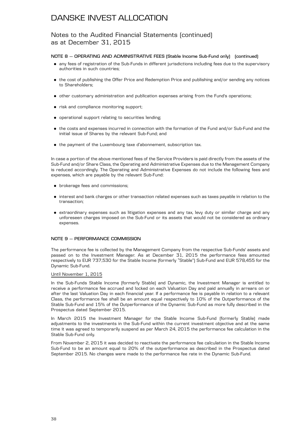### Notes to the Audited Financial Statements (continued) as at December 31, 2015

### **NOTE 8 — OPERATING AND ADMINISTRATIVE FEES (Stable Income Sub-Fund only) (continued)**

- . any fees of registration of the Sub-Funds in different jurisdictions including fees due to the supervisory authorities in such countries;
- . the cost of publishing the Offer Price and Redemption Price and publishing and/or sending any notices to Shareholders;
- . other customary administration and publication expenses arising from the Fund's operations;
- . risk and compliance monitoring support;
- . operational support relating to securities lending;
- . the costs and expenses incurred in connection with the formation of the Fund and/or Sub-Fund and the initial issue of Shares by the relevant Sub-Fund; and
- . the payment of the Luxembourg taxe d'abonnement, subscription tax.

In case a portion of the above mentioned fees of the Service Providers is paid directly from the assets of the Sub-Fund and/or Share Class, the Operating and Administrative Expenses due to the Management Company is reduced accordingly. The Operating and Administrative Expenses do not include the following fees and expenses, which are payable by the relevant Sub-Fund:

- . brokerage fees and commissions;
- . interest and bank charges or other transaction related expenses such as taxes payable in relation to the transaction;
- . extraordinary expenses such as litigation expenses and any tax, levy duty or similar charge and any unforeseen charges imposed on the Sub-Fund or its assets that would not be considered as ordinary expenses.

### **NOTE 9 — PERFORMANCE COMMISSION**

The performance fee is collected by the Management Company from the respective Sub-Funds' assets and passed on to the Investment Manager. As at December 31, 2015 the performance fees amounted respectively to EUR 737,530 for the Stable Income (formerly "Stable") Sub-Fund and EUR 578,455 for the Dynamic Sub-Fund.

### Until November 1, 2015

In the Sub-Funds Stable Income (formerly Stable) and Dynamic, the Investment Manager is entitled to receive a performance fee accrued and locked on each Valuation Day and paid annually in arrears on or after the last Valuation Day in each financial year. If a performance fee is payable in relation to a relevant Class, the performance fee shall be an amount equal respectively to 10% of the Outperformance of the Stable Sub-Fund and 15% of the Outperformance of the Dynamic Sub-Fund as more fully described in the Prospectus dated September 2015.

In March 2015 the Investment Manager for the Stable Income Sub-Fund (formerly Stable) made adjustments to the investments in the Sub-Fund within the current investment objective and at the same time it was agreed to temporarily suspend as per March 24, 2015 the performance fee calculation in the Stable Sub-Fund only.

From November 2, 2015 it was decided to reactivate the performance fee calculation in the Stable Income Sub-Fund to be an amount equal to 20% of the outperformance as described in the Prospectus dated September 2015. No changes were made to the performance fee rate in the Dynamic Sub-Fund.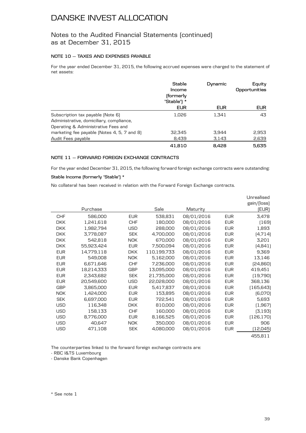### Notes to the Audited Financial Statements (continued) as at December 31, 2015

### **NOTE 10 — TAXES AND EXPENSES PAYABLE**

For the year ended December 31, 2015, the following accrued expenses were charged to the statement of net assets:

|                                             | <b>Stable</b><br>Income<br>(formerly<br>"Stable") * | Dynamic    | Equity<br>Opportunities |  |
|---------------------------------------------|-----------------------------------------------------|------------|-------------------------|--|
|                                             | <b>EUR</b>                                          | <b>EUR</b> | <b>EUR</b>              |  |
| Subscription tax payable (Note 6)           | 1.026                                               | 1.341      | 43                      |  |
| Administrative, domiciliary, compliance,    |                                                     |            |                         |  |
| Operating & Administrative Fees and         |                                                     |            |                         |  |
| marketing fee payable (Notes 4, 5, 7 and 8) | 32,345                                              | 3.944      | 2,953                   |  |
| Audit Fees payable                          | 8,439                                               | 3,143      | 2,639                   |  |
|                                             | 41.810                                              | 8.428      | 5.635                   |  |

### **NOTE 11 — FORWARD FOREIGN EXCHANGE CONTRACTS**

For the year ended December 31, 2015, the following forward foreign exchange contracts were outstanding:

### **Stable Income (formerly "Stable") \***

No collateral has been received in relation with the Forward Foreign Exchange contracts.

|            |            |            |             |            |            | Unrealised<br>gain/(loss) |
|------------|------------|------------|-------------|------------|------------|---------------------------|
|            | Purchase   |            | Sale        | Maturity   |            | (EUR)                     |
| <b>CHF</b> | 586,000    | <b>EUR</b> | 538,831     | 08/01/2016 | <b>EUR</b> | 3,478                     |
| <b>DKK</b> | 1,241,618  | <b>CHF</b> | 180,000     | 08/01/2016 | <b>EUR</b> | (169)                     |
| <b>DKK</b> | 1,982,794  | USD        | 288,000     | 08/01/2016 | <b>EUR</b> | 1,893                     |
| <b>DKK</b> | 3,778,087  | <b>SEK</b> | 4,700,000   | 08/01/2016 | <b>EUR</b> | (4,714)                   |
| <b>DKK</b> | 542,818    | <b>NOK</b> | 670,000     | 08/01/2016 | <b>EUR</b> | 3,201                     |
| <b>DKK</b> | 55,923,424 | <b>EUR</b> | 7,500,094   | 08/01/2016 | <b>EUR</b> | (4, 841)                  |
| <b>EUR</b> | 14,779,118 | <b>DKK</b> | 110,199,733 | 08/01/2016 | <b>EUR</b> | 9,369                     |
| <b>EUR</b> | 549,008    | <b>NOK</b> | 5,162,000   | 08/01/2016 | <b>EUR</b> | 13,146                    |
| <b>EUR</b> | 6,671,646  | <b>CHF</b> | 7,236,000   | 08/01/2016 | <b>EUR</b> | [24,860]                  |
| <b>EUR</b> | 18,214,333 | <b>GBP</b> | 13,095,000  | 08/01/2016 | <b>EUR</b> | 419,451                   |
| <b>EUR</b> | 2,343,682  | <b>SEK</b> | 21,735,000  | 08/01/2016 | <b>EUR</b> | (19, 790)                 |
| <b>EUR</b> | 20,549,600 | <b>USD</b> | 22,028,000  | 08/01/2016 | <b>EUR</b> | 368,136                   |
| <b>GBP</b> | 3,865,000  | <b>EUR</b> | 5,417,837   | 08/01/2016 | <b>EUR</b> | (165, 643)                |
| <b>NOK</b> | 1,424,000  | <b>EUR</b> | 153,895     | 08/01/2016 | <b>EUR</b> | [6,070]                   |
| <b>SEK</b> | 6,697,000  | <b>EUR</b> | 722,541     | 08/01/2016 | <b>EUR</b> | 5,693                     |
| <b>USD</b> | 116,348    | <b>DKK</b> | 810,000     | 08/01/2016 | <b>EUR</b> | (1,967)                   |
| <b>USD</b> | 158,133    | <b>CHF</b> | 160,000     | 08/01/2016 | <b>EUR</b> | (3, 193)                  |
| <b>USD</b> | 8,776,000  | <b>EUR</b> | 8,166,525   | 08/01/2016 | <b>EUR</b> | (126, 170)                |
| <b>USD</b> | 40,647     | NOK.       | 350,000     | 08/01/2016 | <b>EUR</b> | 906                       |
| <b>USD</b> | 471,108    | <b>SEK</b> | 4,080,000   | 08/01/2016 | <b>EUR</b> | (12,045)                  |
|            |            |            |             |            |            | 455,811                   |

The counterparties linked to the forward foreign exchange contracts are:

- RBC I&TS Luxembourg

- Danske Bank Copenhagen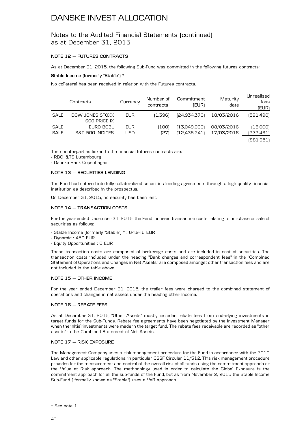### Notes to the Audited Financial Statements (continued) as at December 31, 2015

### **NOTE 12 — FUTURES CONTRACTS**

As at December 31, 2015, the following Sub-Fund was committed in the following futures contracts:

### **Stable Income (formerly "Stable") \***

No collateral has been received in relation with the Futures contracts.

|             | Contracts       | Currency   | Number of<br>contracts | Commitment<br>(EUR) | Maturity<br>date | Unrealised<br>loss<br>(EUR) |
|-------------|-----------------|------------|------------------------|---------------------|------------------|-----------------------------|
| <b>SALE</b> | DOW JONES STOXX | <b>EUR</b> | (1.396)                | (24,934,370)        | 18/03/2016       | [591,490]                   |
|             | 600 PRICE IX    |            |                        |                     |                  |                             |
| <b>SALE</b> | EURO BOBL       | <b>EUR</b> | 1001                   | [13,049,000]        | 08/03/2016       | (18,000)                    |
| SALE        | S&P 500 INDICES | USD        | (27                    | [12, 435, 241]      | 17/03/2016       | [272, 461]                  |
|             |                 |            |                        |                     |                  | (881,951)                   |

The counterparties linked to the financial futures contracts are:

- RBC I&TS Luxembourg

- Danske Bank Copenhagen

### **NOTE 13 — SECURITIES LENDING**

The Fund had entered into fully collateralized securities lending agreements through a high quality financial institution as described in the prospectus.

On December 31, 2015, no security has been lent.

### **NOTE 14 — TRANSACTION COSTS**

For the year ended December 31, 2015, the Fund incurred transaction costs relating to purchase or sale of securities as follows:

- Stable Income (formerly "Stable") \* : 64,946 EUR
- Dynamic : 450 EUR
- Equity Opportunities : 0 EUR

These transaction costs are composed of brokerage costs and are included in cost of securities. The transaction costs included under the heading "Bank charges and correspondent fees" in the "Combined Statement of Operations and Changes in Net Assets" are composed amongst other transaction fees and are not included in the table above.

### **NOTE 15 — OTHER INCOME**

For the year ended December 31, 2015, the trailer fees were charged to the combined statement of operations and changes in net assets under the heading other income.

### **NOTE 16 — REBATE FEES**

As at December 31, 2015, "Other Assets" mostly includes rebate fees from underlying investments in target funds for the Sub-Funds. Rebate fee agreements have been negotiated by the Investment Manager when the initial investments were made in the target fund. The rebate fees receivable are recorded as "other assets" in the Combined Statement of Net Assets.

### **NOTE 17 — RISK EXPOSURE**

The Management Company uses a risk management procedure for the Fund in accordance with the 2010 Law and other applicable regulations, in particular CSSF Circular 11/512. This risk management procedure provides for the measurement and control of the overall risk of all funds using the commitment approach or the Value at Risk approach. The methodology used in order to calculate the Global Exposure is the commitment approach for all the sub-funds of the Fund, but as from November 2, 2015 the Stable Income Sub-Fund ( formally known as "Stable") uses a VaR approach.

<sup>\*</sup> See note 1